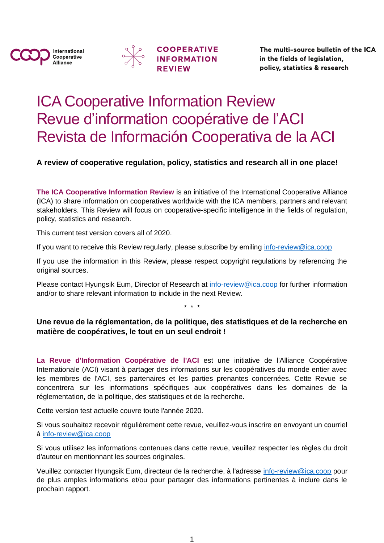





The multi-source bulletin of the ICA in the fields of legislation, policy, statistics & research

# ICA Cooperative Information Review Revue d'information coopérative de l'ACI Revista de Información Cooperativa de la ACI

**A review of cooperative regulation, policy, statistics and research all in one place!**

**The ICA Cooperative Information Review** is an initiative of the International Cooperative Alliance (ICA) to share information on cooperatives worldwide with the ICA members, partners and relevant stakeholders. This Review will focus on cooperative-specific intelligence in the fields of regulation, policy, statistics and research.

This current test version covers all of 2020.

If you want to receive this Review regularly, please subscribe by emiling [info-review@ica.coop](mailto:info-review@ica.coop)

If you use the information in this Review, please respect copyright regulations by referencing the original sources.

Please contact Hyungsik Eum, Director of Research at [info-review@ica.coop](mailto:info-review@ica.coop) for further information and/or to share relevant information to include in the next Review.

\* \* \*

### **Une revue de la réglementation, de la politique, des statistiques et de la recherche en matière de coopératives, le tout en un seul endroit !**

La Revue d'Information Coopérative de l'ACI est une initiative de l'Alliance Coopérative Internationale (ACI) visant à partager des informations sur les coopératives du monde entier avec les membres de l'ACI, ses partenaires et les parties prenantes concernées. Cette Revue se concentrera sur les informations spécifiques aux coopératives dans les domaines de la réglementation, de la politique, des statistiques et de la recherche.

Cette version test actuelle couvre toute l'année 2020.

Si vous souhaitez recevoir régulièrement cette revue, veuillez-vous inscrire en envoyant un courriel à [info-review@ica.coop](mailto:info-review@ica.coop)

Si vous utilisez les informations contenues dans cette revue, veuillez respecter les règles du droit d'auteur en mentionnant les sources originales.

Veuillez contacter Hyungsik Eum, directeur de la recherche, à l'adresse [info-review@ica.coop](mailto:info-review@ica.coop) pour de plus amples informations et/ou pour partager des informations pertinentes à inclure dans le prochain rapport.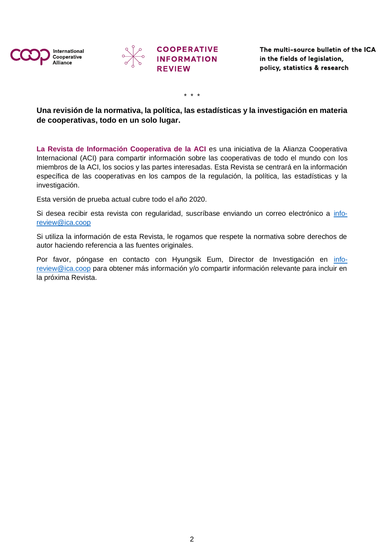





\* \* \*

### **Una revisión de la normativa, la política, las estadísticas y la investigación en materia de cooperativas, todo en un solo lugar.**

La Revista de Información Cooperativa de la ACI es una iniciativa de la Alianza Cooperativa Internacional (ACI) para compartir información sobre las cooperativas de todo el mundo con los miembros de la ACI, los socios y las partes interesadas. Esta Revista se centrará en la información específica de las cooperativas en los campos de la regulación, la política, las estadísticas y la investigación.

Esta versión de prueba actual cubre todo el año 2020.

Si desea recibir esta revista con regularidad, suscríbase enviando un correo electrónico a [info](mailto:info-review@ica.coop)[review@ica.coop](mailto:info-review@ica.coop)

Si utiliza la información de esta Revista, le rogamos que respete la normativa sobre derechos de autor haciendo referencia a las fuentes originales.

Por favor, póngase en contacto con Hyungsik Eum, Director de Investigación en [info](mailto:info-review@ica.coop)[review@ica.coop](mailto:info-review@ica.coop) para obtener más información y/o compartir información relevante para incluir en la próxima Revista.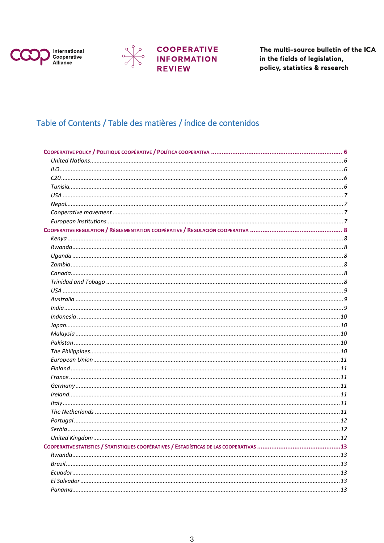



# **COOPERATIVE<br>INFORMATION<br>REVIEW**

The multi-source bulletin of the ICA in the fields of legislation, policy, statistics & research

### Table of Contents / Table des matières / índice de contenidos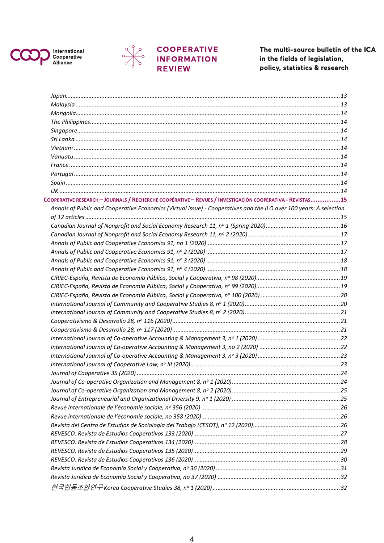



 $\frac{6}{6}$ 

# **COOPERATIVE**<br>INFORMATION<br>REVIEW

The multi-source bulletin of the ICA in the fields of legislation, policy, statistics & research

| COOPERATIVE RESEARCH - JOURNALS / RECHERCHE COOPÉRATIVE - REVUES / INVESTIGACIÓN COOPERATIVA - REVISTAS15         |  |
|-------------------------------------------------------------------------------------------------------------------|--|
| Annals of Public and Cooperative Economics (Virtual issue) - Cooperatives and the ILO over 100 years: A selection |  |
|                                                                                                                   |  |
|                                                                                                                   |  |
|                                                                                                                   |  |
|                                                                                                                   |  |
|                                                                                                                   |  |
|                                                                                                                   |  |
|                                                                                                                   |  |
|                                                                                                                   |  |
|                                                                                                                   |  |
|                                                                                                                   |  |
|                                                                                                                   |  |
|                                                                                                                   |  |
|                                                                                                                   |  |
|                                                                                                                   |  |
|                                                                                                                   |  |
|                                                                                                                   |  |
|                                                                                                                   |  |
|                                                                                                                   |  |
|                                                                                                                   |  |
|                                                                                                                   |  |
|                                                                                                                   |  |
|                                                                                                                   |  |
|                                                                                                                   |  |
|                                                                                                                   |  |
|                                                                                                                   |  |
|                                                                                                                   |  |
|                                                                                                                   |  |
|                                                                                                                   |  |
|                                                                                                                   |  |
|                                                                                                                   |  |
|                                                                                                                   |  |
|                                                                                                                   |  |
|                                                                                                                   |  |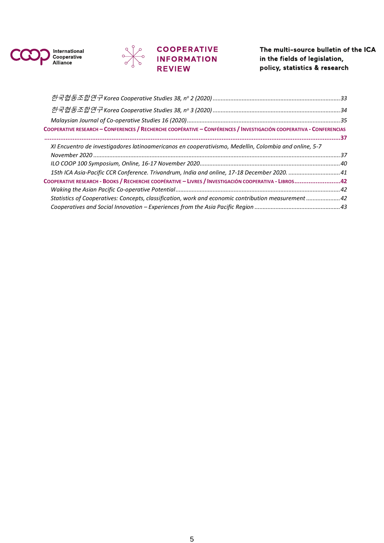



# **COOPERATIVE**<br>INFORMATION<br>REVIEW

The multi-source bulletin of the ICA in the fields of legislation, policy, statistics & research

| COOPERATIVE RESEARCH - CONFERENCES / RECHERCHE COOPÉRATIVE - CONFÉRENCES / INVESTIGACIÓN COOPERATIVA - CONFERENCIAS |  |
|---------------------------------------------------------------------------------------------------------------------|--|
|                                                                                                                     |  |
| XI Encuentro de investigadores latinoamericanos en cooperativismo, Medellin, Colombia and online, 5-7               |  |
|                                                                                                                     |  |
|                                                                                                                     |  |
| 15th ICA Asia-Pacific CCR Conference. Trivandrum, India and online, 17-18 December 2020.  41                        |  |
| COOPERATIVE RESEARCH - BOOKS / RECHERCHE COOPÉRATIVE - LIVRES / INVESTIGACIÓN COOPERATIVA - LIBROS42                |  |
|                                                                                                                     |  |
| Statistics of Cooperatives: Concepts, classification, work and economic contribution measurement  42                |  |
|                                                                                                                     |  |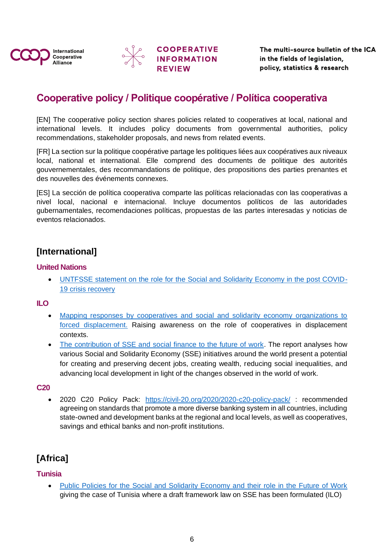

![](_page_5_Picture_1.jpeg)

# <span id="page-5-0"></span>**Cooperative policy / Politique coopérative / Política cooperativa**

[EN] The cooperative policy section shares policies related to cooperatives at local, national and international levels. It includes policy documents from governmental authorities, policy recommendations, stakeholder proposals, and news from related events.

[FR] La section sur la politique coopérative partage les politiques liées aux coopératives aux niveaux local, national et international. Elle comprend des documents de politique des autorités gouvernementales, des recommandations de politique, des propositions des parties prenantes et des nouvelles des événements connexes.

[ES] La sección de política cooperativa comparte las políticas relacionadas con las cooperativas a nivel local, nacional e internacional. Incluye documentos políticos de las autoridades gubernamentales, recomendaciones políticas, propuestas de las partes interesadas y noticias de eventos relacionados.

### **[International]**

### <span id="page-5-1"></span>**United Nations**

• [UNTFSSE statement on the role for the Social and Solidarity Economy in the post COVID-](https://www.ilo.org/wcmsp5/groups/public/---ed_emp/---emp_ent/---coop/documents/publication/wcms_748794.pdf)[19 crisis recovery](https://www.ilo.org/wcmsp5/groups/public/---ed_emp/---emp_ent/---coop/documents/publication/wcms_748794.pdf)

<span id="page-5-2"></span>**ILO**

- [Mapping responses by cooperatives and social and solidarity economy organizations to](https://www.ilo.org/wcmsp5/groups/public/---dgreports/---ddg_p/documents/publication/wcms_739211.pdf)  [forced displacement.](https://www.ilo.org/wcmsp5/groups/public/---dgreports/---ddg_p/documents/publication/wcms_739211.pdf) Raising awareness on the role of cooperatives in displacement contexts.
- [The contribution of SSE and social finance to the future of work.](https://www.ilo.org/empent/areas/social-finance/publications/WCMS_739377/lang--en/index.htm) The report analyses how various Social and Solidarity Economy (SSE) initiatives around the world present a potential for creating and preserving decent jobs, creating wealth, reducing social inequalities, and advancing local development in light of the changes observed in the world of work.

### <span id="page-5-3"></span>**C20**

• 2020 C20 Policy Pack: <https://civil-20.org/2020/2020-c20-policy-pack/> : recommended agreeing on standards that promote a more diverse banking system in all countries, including state-owned and development banks at the regional and local levels, as well as cooperatives, savings and ethical banks and non-profit institutions.

# **[Africa]**

### <span id="page-5-4"></span>**Tunisia**

• [Public Policies for the Social and Solidarity Economy and their role in the Future of Work](https://www.ilo.org/global/topics/cooperatives/publications/WCMS_740732/lang--en/index.htm) giving the case of Tunisia where a draft framework law on SSE has been formulated (ILO)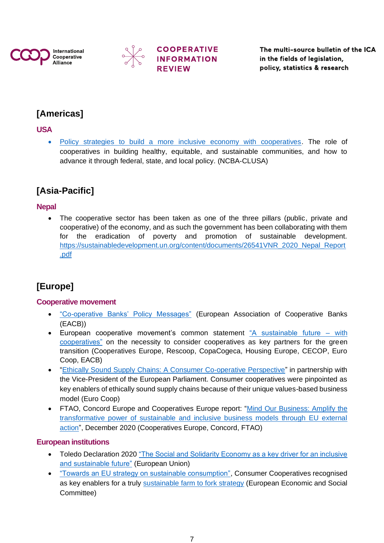![](_page_6_Picture_0.jpeg)

![](_page_6_Picture_1.jpeg)

The multi-source bulletin of the ICA in the fields of legislation, policy, statistics & research

# **[Americas]**

### <span id="page-6-0"></span>**USA**

• [Policy strategies to build a more inclusive economy with cooperatives.](https://ncbaclusa.coop/content/uploads/2020/10/Policy-Strategies-for-an-Inclusive-Economy-Oct-2020.pdf) The role of cooperatives in building healthy, equitable, and sustainable communities, and how to advance it through federal, state, and local policy. (NCBA-CLUSA)

# **[Asia-Pacific]**

### <span id="page-6-1"></span>**Nepal**

• The cooperative sector has been taken as one of the three pillars (public, private and cooperative) of the economy, and as such the government has been collaborating with them for the eradication of poverty and promotion of sustainable development. [https://sustainabledevelopment.un.org/content/documents/26541VNR\\_2020\\_Nepal\\_Report](https://sustainabledevelopment.un.org/content/documents/26541VNR_2020_Nepal_Report.pdf) [.pdf](https://sustainabledevelopment.un.org/content/documents/26541VNR_2020_Nepal_Report.pdf)

# **[Europe]**

### <span id="page-6-2"></span>**Cooperative movement**

- ["Co-operative Banks' Policy Messages"](http://v3.globalcube.net/clients/eacb/content/medias/publications/news/layout_declaration_convention_2020.pdf) (European Association of Cooperative Banks (EACB))
- European cooperative movement's common statement ["A sustainable future –](https://www.eurocoop.coop/uploads/Statement-%20%23EUGreenWeek.pdf) with [cooperatives"](https://www.eurocoop.coop/uploads/Statement-%20%23EUGreenWeek.pdf) on the necessity to consider cooperatives as key partners for the green transition (Cooperatives Europe, Rescoop, CopaCogeca, Housing Europe, CECOP, Euro Coop, EACB)
- ["Ethically Sound Supply Chains: A Consumer Co-operative Perspective"](https://www.eurocoop.coop/uploads/Sustainability/Euro%20Coop_Press%20Release_Ethically%20Sound%20Supply%20Chains.pdf) in partnership with the Vice-President of the European Parliament. Consumer cooperatives were pinpointed as key enablers of ethically sound supply chains because of their unique values-based business model (Euro Coop)
- FTAO, Concord Europe and Cooperatives Europe report: "Mind Our Business: Amplify the [transformative power of sustainable and inclusive business models through EU external](https://fairtrade-advocacy.org/wp-content/uploads/2020/12/mind-our-business-ONLINE.pdf)  [action"](https://fairtrade-advocacy.org/wp-content/uploads/2020/12/mind-our-business-ONLINE.pdf), December 2020 (Cooperatives Europe, Concord, FTAO)

### <span id="page-6-3"></span>**European institutions**

- Toledo Declaration 2020 "The Social and Solidarity Economy as a key driver for an inclusive [and sustainable future"](https://www.socialeconomy.eu.org/wp-content/uploads/2021/01/Toledo-Declaration_final_EN.pdf) (European Union)
- ["Towards an EU strategy on sustainable consumption",](https://www.eesc.europa.eu/en/our-work/opinions-information-reports/opinions/towards-eu-strategy-sustainable-consumption-own-initiative-opinion/timeline) Consumer Cooperatives recognised as key enablers for a truly [sustainable farm to fork strategy](https://www.eesc.europa.eu/en/our-work/opinions-information-reports/opinions/farm-fork-sustainable-food-strategy) (European Economic and Social Committee)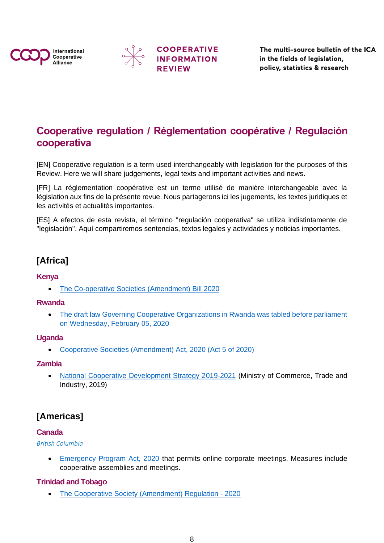![](_page_7_Picture_0.jpeg)

![](_page_7_Picture_1.jpeg)

![](_page_7_Picture_2.jpeg)

The multi-source bulletin of the ICA in the fields of legislation, policy, statistics & research

# <span id="page-7-0"></span>**Cooperative regulation / Réglementation coopérative / Regulación cooperativa**

[EN] Cooperative regulation is a term used interchangeably with legislation for the purposes of this Review. Here we will share judgements, legal texts and important activities and news.

[FR] La réglementation coopérative est un terme utilisé de manière interchangeable avec la législation aux fins de la présente revue. Nous partagerons ici les jugements, les textes juridiques et les activités et actualités importantes.

[ES] A efectos de esta revista, el término "regulación cooperativa" se utiliza indistintamente de "legislación". Aquí compartiremos sentencias, textos legales y actividades y noticias importantes.

### **[Africa]**

### <span id="page-7-1"></span>**Kenya**

• [The Co-operative Societies \(Amendment\) Bill 2020](http://kenyalaw.org/kl/fileadmin/pdfdownloads/bills/2020/TheCooperativeSocieties_Amendment_Bill_2020.pdf)

### <span id="page-7-2"></span>**Rwanda**

• The draft law Governing Cooperative Organizations in Rwanda was tabled before parliament [on Wednesday, February 05, 2020](https://www.newtimes.co.rw/news/new-bill-seeks-make-cooperatives-more-profitable)

### <span id="page-7-3"></span>**Uganda**

• [Cooperative Societies \(Amendment\) Act, 2020 \(Act 5 of 2020\)](https://resolver.ulii.org/resolve/akn/ug/act/2020/5)

### <span id="page-7-4"></span>**Zambia**

• [National Cooperative Development Strategy 2019-2021](https://www.mcti.gov.zm/?wpfb_dl=91) (Ministry of Commerce, Trade and Industry, 2019)

### **[Americas]**

### <span id="page-7-5"></span>**Canada**

### *British Columbia*

• [Emergency Program Act, 2020](https://www.bclaws.gov.bc.ca/civix/document/id/mo/mo/m0116_2020) that permits online corporate meetings. Measures include cooperative assemblies and meetings.

### <span id="page-7-6"></span>**Trinidad and Tobago**

• The Cooperative Society [\(Amendment\) Regulation](http://laws.gov.tt/ttdll-web/revision/download/110551?type=amendment) - 2020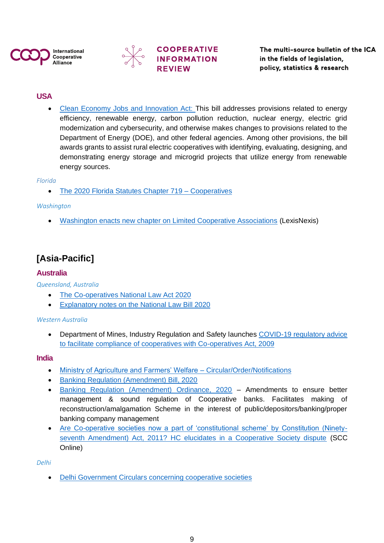![](_page_8_Picture_0.jpeg)

![](_page_8_Picture_1.jpeg)

![](_page_8_Picture_2.jpeg)

### <span id="page-8-0"></span>**USA**

• [Clean Economy Jobs and Innovation Act:](https://www.congress.gov/bill/116th-congress/house-bill/4447) This bill addresses provisions related to energy efficiency, renewable energy, carbon pollution reduction, nuclear energy, electric grid modernization and cybersecurity, and otherwise makes changes to provisions related to the Department of Energy (DOE), and other federal agencies. Among other provisions, the bill awards grants to assist rural electric cooperatives with identifying, evaluating, designing, and demonstrating energy storage and microgrid projects that utilize energy from renewable energy sources.

**COOPERATIVE** 

**INFORMATION** 

#### *Florida*

• [The 2020 Florida Statutes Chapter 719 –](http://www.leg.state.fl.us/statutes/index.cfm?App_mode=Display_Statute&URL=0700-0799/0719/0719.html) Cooperatives

#### *Washington*

• [Washington enacts new chapter on Limited Cooperative Associations](https://www.lexisnexis.com/lextalk/legal-content-insider/f/21/t/5067.aspx) (LexisNexis)

### **[Asia-Pacific]**

### <span id="page-8-1"></span>**Australia**

*Queensland, Australia*

- [The Co-operatives National Law Act 2020](https://www.legislation.qld.gov.au/view/pdf/asmade/act-2020-018)
- [Explanatory notes on the National Law Bill 2020](https://cabinet.qld.gov.au/documents/2020/Feb/CNLBill/Attachments/ExNotes.PDF)

#### *Western Australia*

• Department of Mines, Industry Regulation and Safety launches COVID-19 regulatory advice [to facilitate compliance of cooperatives with Co-operatives Act, 2009](https://www.commerce.wa.gov.au/consumer-protection/covid-19-coronavirus-advice-co-operatives)

#### <span id="page-8-2"></span>**India**

- [Ministry of Agriculture and Farmers' Welfare –](https://mscs.dac.gov.in/Circular.aspx) Circular/Order/Notifications
- [Banking Regulation \(Amendment\) Bill, 2020](https://coopwelfare.com/uploads/attachments/56-2020-ls-eng-404.pdf)
- [Banking Regulation \(Amendment\) Ordinance, 2020](https://pib.gov.in/PressReleasePage.aspx?PRID=1634684) Amendments to ensure better management & sound regulation of Cooperative banks. Facilitates making of reconstruction/amalgamation Scheme in the interest of public/depositors/banking/proper banking company management
- [Are Co-operative societies now a part of 'constitutional scheme' by Constitution \(Ninety](https://www.scconline.com/blog/post/2020/09/03/bom-hc-are-co-operative-societies-now-a-part-of-constitutional-scheme-by-constitution-ninety-seventh-amendment-act-2011-hc-elucidates-in-a-cooperative-society-dispute/)[seventh Amendment\) Act, 2011? HC elucidates in a Cooperative Society dispute](https://www.scconline.com/blog/post/2020/09/03/bom-hc-are-co-operative-societies-now-a-part-of-constitutional-scheme-by-constitution-ninety-seventh-amendment-act-2011-hc-elucidates-in-a-cooperative-society-dispute/) (SCC Online)

#### *Delhi*

• [Delhi Government Circulars](http://web.delhi.gov.in/wps/wcm/connect/doit_rcs/RCS/Home/Circular) concerning cooperative societies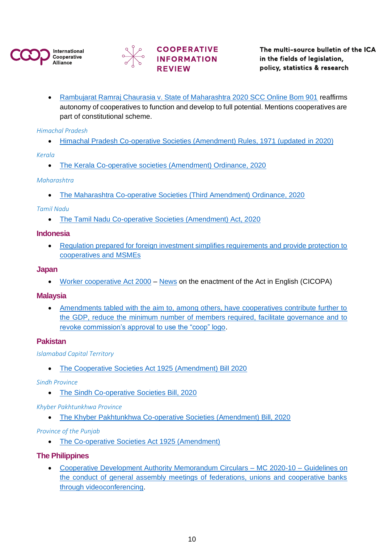![](_page_9_Picture_0.jpeg)

![](_page_9_Picture_1.jpeg)

# **COOPERATIVE INFORMATION**

• [Rambujarat Ramraj Chaurasia v. State of Maharashtra 2020 SCC Online Bom 901](https://cloud.ica.coop/index.php/s/Ny9tktLsp5wRXRy) reaffirms autonomy of cooperatives to function and develop to full potential. Mentions cooperatives are part of constitutional scheme.

### *Himachal Pradesh*

• [Himachal Pradesh Co-operative Societies \(Amendment\) Rules, 1971 \(updated in 2020\)](http://www.bareactslive.com/HP/hp164.htm)

*Kerala*

• [The Kerala Co-operative societies \(Amendment\) Ordinance, 2020](http://www.niyamasabha.org/codes/14kla/Ordinances/16-2020.pdf)

### *Maharashtra*

• [The Maharashtra Co-operative Societies \(Third Amendment\) Ordinance, 2020](https://prsindia.org/files/bills_acts/bills_states/maharashtra/2020/MH%20Ordinance%2018%20of%202020.pdf)

### *Tamil Nadu*

• [The Tamil Nadu Co-operative Societies \(Amendment\) Act, 2020](http://www.stationeryprinting.tn.gov.in/extraordinary/2020/11_Ex_IV_1_E.pdf)

### <span id="page-9-0"></span>**Indonesia**

• [Regulation prepared for foreign investment simplifies requirements and provide protection to](https://www.aseanbriefing.com/news/indonesia-to-prepare-positive-investment-list/)  [cooperatives and MSMEs](https://www.aseanbriefing.com/news/indonesia-to-prepare-positive-investment-list/)

#### <span id="page-9-1"></span>**Japan**

• [Worker cooperative Act 2000](https://www.mhlw.go.jp/stf/newpage_14982.html?fbclid=IwAR21rYfjTbaEwpRi2DwxHZcqqB1y-xMXnH90Ml2OP1_olN107ndtlQAgReo) – [News](https://www.cicopa.coop/news/japanese-workers-cooperatives-act-is-adopted/) on the enactment of the Act in English (CICOPA)

### <span id="page-9-2"></span>**Malaysia**

• [Amendments tabled with the aim to, among others, have cooperatives contribute further to](https://www.skm.gov.my/images/images/perundangan/20210202_A1634_BI_Act%20A1634.pdf)  [the GDP, reduce the minimum number of members required, facilitate governance and to](https://www.skm.gov.my/images/images/perundangan/20210202_A1634_BI_Act%20A1634.pdf)  [revoke commission's approval to use the "coop" logo.](https://www.skm.gov.my/images/images/perundangan/20210202_A1634_BI_Act%20A1634.pdf)

### <span id="page-9-3"></span>**Pakistan**

*Islamabad Capital Territory*

• [The Cooperative Societies Act 1925 \(Amendment\) Bill 2020](http://www.senate.gov.pk/uploads/documents/1600152540_982.pdf)

### *Sindh Province*

• [The Sindh Co-operative Societies Bill, 2020](http://sindhlaws.gov.pk/setup/Publications/PUB-20-000052.pdf)

### *Khyber Pakhtunkhwa Province*

• [The Khyber Pakhtunkhwa Co-operative Societies \(Amendment\) Bill, 2020](https://www.pakp.gov.pk/wp-content/uploads/cooperative-societies-Amendment-act-2020-Gazzatted.pdf)

### *Province of the Punjab*

• [The Co-operative Societies Act 1925 \(Amendment\)](http://punjablaws.gov.pk/laws/32.html#_ftn2)

### <span id="page-9-4"></span>**The Philippines**

• [Cooperative Development Authority Memorandum Circulars –](https://cda.gov.ph/memorandum-circulars/2020-10-guidelines-on-the-conduct-of-general-assembly-meetings-of-federations-unions-and-cooperative-banks-through-videoconferencing/) MC 2020-10 – Guidelines on [the conduct of general assembly meetings of federations, unions and cooperative banks](https://cda.gov.ph/memorandum-circulars/2020-10-guidelines-on-the-conduct-of-general-assembly-meetings-of-federations-unions-and-cooperative-banks-through-videoconferencing/)  [through videoconferencing.](https://cda.gov.ph/memorandum-circulars/2020-10-guidelines-on-the-conduct-of-general-assembly-meetings-of-federations-unions-and-cooperative-banks-through-videoconferencing/)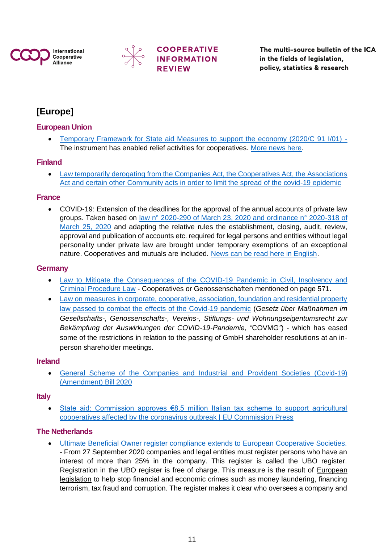![](_page_10_Picture_0.jpeg)

![](_page_10_Picture_1.jpeg)

![](_page_10_Picture_2.jpeg)

The multi-source bulletin of the ICA in the fields of legislation, policy, statistics & research

# **[Europe]**

### <span id="page-10-0"></span>**European Union**

• [Temporary Framework for State aid Measures to support the economy \(2020/C 91 I/01\)](https://eur-lex.europa.eu/legal-content/EN/TXT/?uri=OJ%3AJOC_2020_091_I_0001) - The instrument has enabled relief activities for cooperatives. [More news here.](https://www.pubaffairsbruxelles.eu/state-aid-commission-approves-e8-5-million-italian-tax-scheme-to-support-agricultural-cooperatives-affected-by-the-coronavirus-outbreak-eu-commission-press/)

### <span id="page-10-1"></span>**Finland**

• [Law temporarily derogating from the Companies Act, the Cooperatives Act, the Associations](https://www.finlex.fi/fi/laki/alkup/2020/20200677?search%5Btype%5D=pika&search%5Bpika%5D=Osuuskuntalaki)  [Act and certain other Community acts in order to limit the spread of the covid-19 epidemic](https://www.finlex.fi/fi/laki/alkup/2020/20200677?search%5Btype%5D=pika&search%5Bpika%5D=Osuuskuntalaki)

### <span id="page-10-2"></span>**France**

• COVID-19: Extension of the deadlines for the approval of the annual accounts of private law groups. Taken based on [law n° 2020-290 of March 23, 2020 and ordinance n° 2020-318 of](https://www.legifrance.gouv.fr/loda/id/JORFTEXT000041746313/)  [March 25, 2020](https://www.legifrance.gouv.fr/loda/id/JORFTEXT000041746313/) and adapting the relative rules the establishment, closing, audit, review, approval and publication of accounts etc. required for legal persons and entities without legal personality under private law are brought under temporary exemptions of an exceptional nature. Cooperatives and mutuals are included. [News can be read here in English.](https://www.gide.com/sites/default/files/gide_clientalert_covid19_ofi_loiurgence_en_mar2020_0.pdf)

### <span id="page-10-3"></span>**Germany**

- [Law to Mitigate the Consequences of the COVID-19 Pandemic in Civil, Insolvency and](https://www.bmjv.de/SharedDocs/Gesetzgebungsverfahren/Dokumente/Bgbl_Corona-Pandemie.pdf?__blob=publicationFile&v=1)  [Criminal Procedure Law](https://www.bmjv.de/SharedDocs/Gesetzgebungsverfahren/Dokumente/Bgbl_Corona-Pandemie.pdf?__blob=publicationFile&v=1) - Cooperatives or Genossenschaften mentioned on page 571.
- Law on measures in corporate, cooperative, association, foundation and residential property [law passed to combat the effects of the Covid-19 pandemic](https://translate.google.com/translate?hl=en&sl=de&u=https://www.gesetze-im-internet.de/gesruacovbekg/BJNR057000020.html&prev=search&pto=aue) (*Gesetz über Maßnahmen im Gesellschafts-, Genossenschafts-, Vereins-, Stiftungs- und Wohnungseigentumsrecht zur Bekämpfung der Auswirkungen der COVID-19-Pandemie, "*COVMG*"*) - which has eased some of the restrictions in relation to the passing of GmbH shareholder resolutions at an inperson shareholder meetings.

### <span id="page-10-4"></span>**Ireland**

• [General Scheme of the Companies and Industrial and Provident Societies \(Covid-19\)](https://cloud.ica.coop/index.php/s/SZLaiJPLT5ExsZ5)  [\(Amendment\) Bill 2020](https://cloud.ica.coop/index.php/s/SZLaiJPLT5ExsZ5)

### <span id="page-10-5"></span>**Italy**

• [State aid: Commission approves €8.5 million Italian tax scheme to support agricultural](https://www.pubaffairsbruxelles.eu/state-aid-commission-approves-e8-5-million-italian-tax-scheme-to-support-agricultural-cooperatives-affected-by-the-coronavirus-outbreak-eu-commission-press/)  cooperatives affected by the [coronavirus outbreak | EU Commission Press](https://www.pubaffairsbruxelles.eu/state-aid-commission-approves-e8-5-million-italian-tax-scheme-to-support-agricultural-cooperatives-affected-by-the-coronavirus-outbreak-eu-commission-press/)

### <span id="page-10-6"></span>**The Netherlands**

• [Ultimate Beneficial Owner register compliance extends to European Cooperative Societies.](https://business.gov.nl/regulation/ubo-register-ultimate-beneficial-owner/) - From 27 September 2020 companies and legal entities must register persons who have an interest of more than 25% in the company. This register is called the UBO register. Registration in the UBO register is free of charge. This measure is the result of [European](https://ec.europa.eu/info/business-economy-euro/banking-and-finance/financial-supervision-and-risk-management/anti-money-laundering-and-counter-terrorist-financing_en)  [legislation](https://ec.europa.eu/info/business-economy-euro/banking-and-finance/financial-supervision-and-risk-management/anti-money-laundering-and-counter-terrorist-financing_en) to help stop financial and economic crimes such as money laundering, financing terrorism, tax fraud and corruption. The register makes it clear who oversees a company and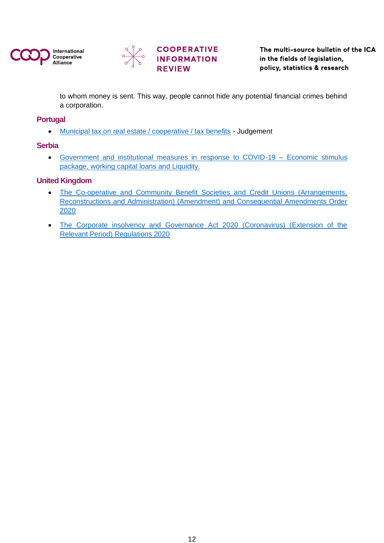![](_page_11_Picture_0.jpeg)

![](_page_11_Picture_1.jpeg)

![](_page_11_Picture_2.jpeg)

The multi-source bulletin of the ICA in the fields of legislation, policy, statistics & research

to whom money is sent. This way, people cannot hide any potential financial crimes behind a corporation.

### <span id="page-11-0"></span>**Portugal**

• [Municipal tax on real estate / cooperative / tax benefits](https://cases.pt/nl/2020/ES-SJ1semestre2020.html) - Judgement

### <span id="page-11-1"></span>**Serbia**

• [Government and institutional measures in response to COVID-19 –](https://home.kpmg/xx/en/home/insights/2020/04/serbia-government-and-institution-measures-in-response-to-covid.html) Economic stimulus [package, working capital loans and Liquidity.](https://home.kpmg/xx/en/home/insights/2020/04/serbia-government-and-institution-measures-in-response-to-covid.html)

### <span id="page-11-2"></span>**United Kingdom**

- [The Co-operative and Community Benefit Societies and Credit Unions \(Arrangements,](https://www.legislation.gov.uk/uksi/2020/744/contents/made)  [Reconstructions and Administration\) \(Amendment\) and Consequential Amendments Order](https://www.legislation.gov.uk/uksi/2020/744/contents/made)  [2020](https://www.legislation.gov.uk/uksi/2020/744/contents/made)
- [The Corporate insolvency and Governance Act 2020 \(Coronavirus\) \(Extension of the](https://www.legislation.gov.uk/uksi/2020/1031/regulation/2/made)  [Relevant Period\) Regulations 2020](https://www.legislation.gov.uk/uksi/2020/1031/regulation/2/made)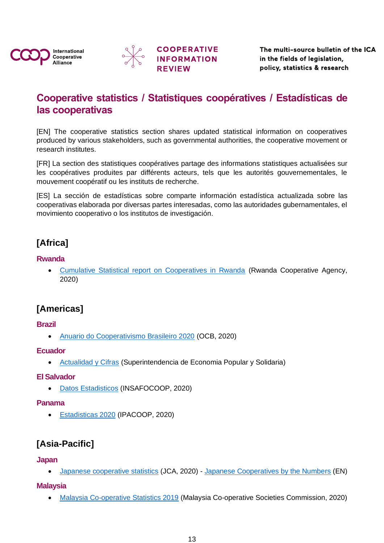![](_page_12_Picture_0.jpeg)

![](_page_12_Picture_1.jpeg)

![](_page_12_Picture_2.jpeg)

# <span id="page-12-0"></span>**Cooperative statistics / Statistiques coopératives / Estadísticas de las cooperativas**

[EN] The cooperative statistics section shares updated statistical information on cooperatives produced by various stakeholders, such as governmental authorities, the cooperative movement or research institutes.

[FR] La section des statistiques coopératives partage des informations statistiques actualisées sur les coopératives produites par différents acteurs, tels que les autorités gouvernementales, le mouvement coopératif ou les instituts de recherche.

[ES] La sección de estadísticas sobre comparte información estadística actualizada sobre las cooperativas elaborada por diversas partes interesadas, como las autoridades gubernamentales, el movimiento cooperativo o los institutos de investigación.

# **[Africa]**

### <span id="page-12-1"></span>**Rwanda**

• [Cumulative Statistical report on Cooperatives in Rwanda](http://www.rca.gov.rw/shortcut/statistics/cooperative-movement-jan2020/#.YEHOPubjKqA) (Rwanda Cooperative Agency, 2020)

# **[Americas]**

### <span id="page-12-2"></span>**Brazil**

• [Anuario do Cooperativismo Brasileiro 2020](https://www.ocb.org.br/numeros) (OCB, 2020)

### <span id="page-12-3"></span>**Ecuador**

• [Actualidad y Cifras](https://www.seps.gob.ec/estadistica?actualidad-y-cifras) (Superintendencia de Economia Popular y Solidaria)

### <span id="page-12-4"></span>**El Salvador**

• [Datos Estadisticos](http://www.insafocoop.gob.sv/?servicios=servicio-3) (INSAFOCOOP, 2020)

### <span id="page-12-5"></span>**Panama**

• [Estadisticas 2020](https://www.ipacoop.gob.pa/index.php/2-uncategorised/280-estadisticas-1) (IPACOOP, 2020)

# **[Asia-Pacific]**

### <span id="page-12-6"></span>**Japan**

• [Japanese cooperative statistics](https://www.japan.coop/study/statistic.php?fbclid=IwAR1KbhYDtDPfLS04qTlpdxvnSTPnu0mJIOPRW6zf9rfuD0ocTNf3Ia92Nd4) (JCA, 2020) - [Japanese Cooperatives by the Numbers](https://www.japan.coop/study/pdf/coop_in_numbers_en.pdf) (EN)

### <span id="page-12-7"></span>**Malaysia**

• [Malaysia Co-operative Statistics 2019](http://www.skm.gov.my/images/images/Statistik-Gerakan-Koperasi/Statistik-Tahunan/statistic-tahunan-2019/SKM%20-%20PERANGKAAN%20GERAKAN%20KOPERASI%20-%202019%20-%20DESIGN%20PRINT%20FA.pdf) (Malaysia Co-operative Societies Commission, 2020)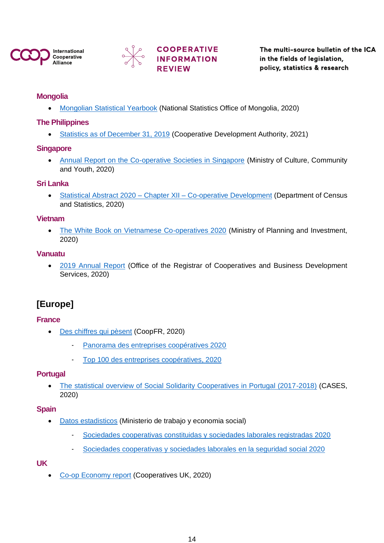![](_page_13_Picture_0.jpeg)

![](_page_13_Picture_1.jpeg)

# **COOPERATIVE INFORMATION**

The multi-source bulletin of the ICA in the fields of legislation, policy, statistics & research

### <span id="page-13-0"></span>**Mongolia**

• [Mongolian Statistical Yearbook](https://www.1212.mn/BookLibraryDownload.ashx?url=Yearbook-2019.pdf&ln=Mn) (National Statistics Office of Mongolia, 2020)

### <span id="page-13-1"></span>**The Philippines**

• [Statistics as of December 31, 2019](https://cda.gov.ph/resources/updates/statistics/1954-statistics-as-of-december-31-2019) (Cooperative Development Authority, 2021)

### <span id="page-13-2"></span>**Singapore**

• [Annual Report on the Co-operative Societies in Singapore](https://www.mccy.gov.sg/-/media/MCCY-corp/Sectors/RCS_Annual_Report_FYE_31Mar2020.pdf) (Ministry of Culture, Community and Youth, 2020)

### <span id="page-13-3"></span>**Sri Lanka**

• Statistical Abstract 2020 – Chapter XII – [Co-operative Development](http://www.statistics.gov.lk/abstract2020/CHAP12) (Department of Census and Statistics, 2020)

### <span id="page-13-4"></span>**Vietnam**

• [The White Book on Vietnamese Co-operatives 2020](https://wtocenter.vn/thong-ke/15443-the-white-book-on-vietnamese-co-operatives-2020?fbclid=IwAR3tzvYaxMlLdP6iHHascFuxhvieIcU7BYM2fIgR9snpwxAZ-qibkIInpJQ&fbclid=IwAR3tzvYaxMlLdP6iHHascFuxhvieIcU7BYM2fIgR9snpwxAZ-qibkIInpJQ) (Ministry of Planning and Investment, 2020)

### <span id="page-13-5"></span>**Vanuatu**

• [2019 Annual Report](https://cooperative.gov.vu/images/Annual_Reports/ORCBDS_Annual_Report_2019.pdf) (Office of the Registrar of Cooperatives and Business Development Services, 2020)

### **[Europe]**

### <span id="page-13-6"></span>**France**

- [Des chiffres qui pèsent](https://www.entreprises.coop/des-chiffres-qui-pesent) (CoopFR, 2020)
	- [Panorama des entreprises coopératives 2020](https://www.entreprises.coop/system/files/inline-files/panorama-entreprises-coop-2020_1.pdf)
	- [Top 100 des entreprises coopératives, 2020](https://www.entreprises.coop/system/files/inline-files/top100-entreprises-coop-2020_2.pdf)

### <span id="page-13-7"></span>**Portugal**

• [The statistical overview of Social Solidarity Cooperatives in Portugal \(2017-2018\)](https://www.cases.pt/cases-report-the-statistical-overview-of-social-solidarity-cooperatives-in-portugal-2017-2018/?fbclid=IwAR3AlrAU8P0HAY893V3Cm7uFdSQkj6DAVsKeZcWzWgM2HJvS7R60G3dnaeI) (CASES, 2020)

### <span id="page-13-8"></span>**Spain**

- [Datos estadisticos](https://www.mites.gob.es/es/sec_trabajo/autonomos/economia-social/estadisticas/index.htm) (Ministerio de trabajo y economia social)
	- [Sociedades cooperativas constituidas y sociedades laborales registradas 2020](https://www.mites.gob.es/es/sec_trabajo/autonomos/economia-social/estadisticas/cooperativas-soc-laborales/2020/2trim/index.htm)
	- [Sociedades cooperativas y sociedades laborales en la seguridad social 2020](https://www.mites.gob.es/es/sec_trabajo/autonomos/economia-social/estadisticas/sociedades-alta-ssocial/2020/indice.htm)

### <span id="page-13-9"></span>**UK**

• [Co-op Economy report](https://www.uk.coop/resources/co-op-economy-report) (Cooperatives UK, 2020)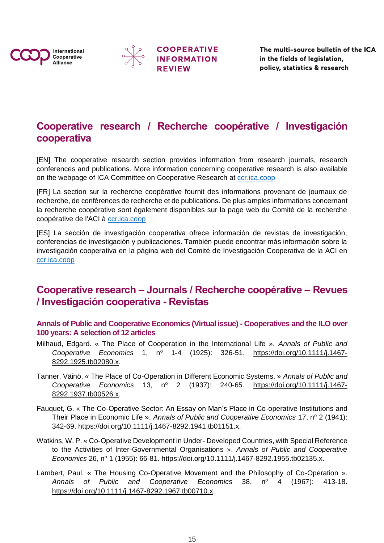![](_page_14_Picture_0.jpeg)

![](_page_14_Picture_1.jpeg)

![](_page_14_Picture_2.jpeg)

The multi-source bulletin of the ICA in the fields of legislation, policy, statistics & research

# **Cooperative research / Recherche coopérative / Investigación cooperativa**

[EN] The cooperative research section provides information from research journals, research conferences and publications. More information concerning cooperative research is also available on the webpage of ICA Committee on Cooperative Research at cor.ica.coop

[FR] La section sur la recherche coopérative fournit des informations provenant de journaux de recherche, de conférences de recherche et de publications. De plus amples informations concernant la recherche coopérative sont également disponibles sur la page web du Comité de la recherche coopérative de l'ACI à<ccr.ica.coop>

[ES] La sección de investigación cooperativa ofrece información de revistas de investigación, conferencias de investigación y publicaciones. También puede encontrar más información sobre la investigación cooperativa en la página web del Comité de Investigación Cooperativa de la ACI en <ccr.ica.coop>

# <span id="page-14-0"></span>**Cooperative research – Journals / Recherche coopérative – Revues / Investigación cooperativa - Revistas**

<span id="page-14-1"></span>**[Annals of Public and Cooperative Economics \(Virtual issue\) -](https://onlinelibrary.wiley.com/doi/toc/10.1111/(ISSN)1467-8292.ilo-coop-100) Cooperatives and the ILO over [100 years: A selection of 12 articles](https://onlinelibrary.wiley.com/doi/toc/10.1111/(ISSN)1467-8292.ilo-coop-100)**

- Milhaud, Edgard. « The Place of Cooperation in the International Life ». *Annals of Public and*  Cooperative Economics 1, nº 1-4 (1925): 326-51. [https://doi.org/10.1111/j.1467-](https://doi.org/10.1111/j.1467-8292.1925.tb02080.x) [8292.1925.tb02080.x.](https://doi.org/10.1111/j.1467-8292.1925.tb02080.x)
- Tanner, Väinö. « The Place of Co-Operation in Different Economic Systems. » *Annals of Public and Cooperative Economics* 13, n<sup>o</sup> 2 (1937): 240-65. https://doi.org/10.1111/i.1467-[8292.1937.tb00526.x.](https://doi.org/10.1111/j.1467-8292.1937.tb00526.x)
- Fauquet, G. « The Co-Operative Sector: An Essay on Man's Place in Co-operative Institutions and Their Place in Economic Life ». Annals of Public and Cooperative Economics 17, nº 2 (1941): 342‑69. [https://doi.org/10.1111/j.1467-8292.1941.tb01151.x.](https://doi.org/10.1111/j.1467-8292.1941.tb01151.x)
- Watkins, W. P. « Co-Operative Development in Under- Developed Countries, with Special Reference to the Activities of lnter-Governmental Organisations ». *Annals of Public and Cooperative Economics* 26, nº 1 (1955): 66-81. [https://doi.org/10.1111/j.1467-8292.1955.tb02135.x.](https://doi.org/10.1111/j.1467-8292.1955.tb02135.x)
- Lambert, Paul. « The Housing Co-Operative Movement and the Philosophy of Co-Operation ». Annals of Public and Cooperative Economics 38, n° 4 (1967): 413-18. [https://doi.org/10.1111/j.1467-8292.1967.tb00710.x.](https://doi.org/10.1111/j.1467-8292.1967.tb00710.x)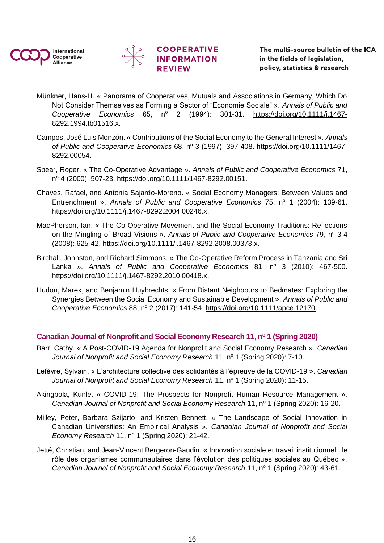![](_page_15_Picture_0.jpeg)

![](_page_15_Picture_1.jpeg)

# **COOPERATIVE INFORMATION**

- Münkner, Hans-H. « Panorama of Cooperatives, Mutuals and Associations in Germany, Which Do Not Consider Themselves as Forming a Sector of "Economie Sociale" ». *Annals of Public and Cooperative Economics* 65, n<sup>o</sup> 2 (1994): 301-31. [https://doi.org/10.1111/j.1467-](https://doi.org/10.1111/j.1467-8292.1994.tb01516.x) [8292.1994.tb01516.x.](https://doi.org/10.1111/j.1467-8292.1994.tb01516.x)
- Campos, José Luis Monzón. « Contributions of the Social Economy to the General Interest ». *Annals*  of Public and Cooperative Economics 68, nº 3 (1997): 397-408. [https://doi.org/10.1111/1467-](https://doi.org/10.1111/1467-8292.00054) [8292.00054.](https://doi.org/10.1111/1467-8292.00054)
- Spear, Roger. « The Co-Operative Advantage ». *Annals of Public and Cooperative Economics* 71, n <sup>o</sup> 4 (2000): 507‑23. [https://doi.org/10.1111/1467-8292.00151.](https://doi.org/10.1111/1467-8292.00151)
- Chaves, Rafael, and Antonia Sajardo‑Moreno. « Social Economy Managers: Between Values and Entrenchment ». Annals of Public and Cooperative Economics 75, n° 1 (2004): 139-61. [https://doi.org/10.1111/j.1467-8292.2004.00246.x.](https://doi.org/10.1111/j.1467-8292.2004.00246.x)
- MacPherson, Ian. « The Co-Operative Movement and the Social Economy Traditions: Reflections on the Mingling of Broad Visions ». Annals of Public and Cooperative Economics 79, nº 3-4 (2008): 625‑42. [https://doi.org/10.1111/j.1467-8292.2008.00373.x.](https://doi.org/10.1111/j.1467-8292.2008.00373.x)
- Birchall, Johnston, and Richard Simmons. « The Co-Operative Reform Process in Tanzania and Sri Lanka ». Annals of Public and Cooperative Economics 81, n<sup>o</sup> 3 (2010): 467-500. [https://doi.org/10.1111/j.1467-8292.2010.00418.x.](https://doi.org/10.1111/j.1467-8292.2010.00418.x)
- Hudon, Marek, and Benjamin Huybrechts. « From Distant Neighbours to Bedmates: Exploring the Synergies Between the Social Economy and Sustainable Development ». *Annals of Public and Cooperative Economics* 88, n<sup>o</sup> 2 (2017): 141‑54. [https://doi.org/10.1111/apce.12170.](https://doi.org/10.1111/apce.12170)

### <span id="page-15-0"></span>**Canadian Journal of Nonprofit and Social Economy Research 11, n<sup>o</sup> 1 (Spring 2020)**

- Barr, Cathy. « A Post-COVID-19 Agenda for Nonprofit and Social Economy Research ». *Canadian Journal of Nonprofit and Social Economy Research* 11, n<sup>o</sup> 1 (Spring 2020): 7-10.
- Lefèvre, Sylvain. « L'architecture collective des solidarités à l'épreuve de la COVID-19 ». *Canadian Journal of Nonprofit and Social Economy Research* 11, n<sup>o</sup> 1 (Spring 2020): 11-15.
- Akingbola, Kunle. « COVID-19: The Prospects for Nonprofit Human Resource Management ». *Canadian Journal of Nonprofit and Social Economy Research* 11, n<sup>o</sup> 1 (Spring 2020): 16-20.
- Milley, Peter, Barbara Szijarto, and Kristen Bennett. « The Landscape of Social Innovation in Canadian Universities: An Empirical Analysis ». *Canadian Journal of Nonprofit and Social Economy Research* 11, nº 1 (Spring 2020): 21-42.
- Jetté, Christian, and Jean-Vincent Bergeron-Gaudin. « Innovation sociale et travail institutionnel : le rôle des organismes communautaires dans l'évolution des politiques sociales au Québec ». *Canadian Journal of Nonprofit and Social Economy Research* 11, n<sup>o</sup> 1 (Spring 2020): 43-61.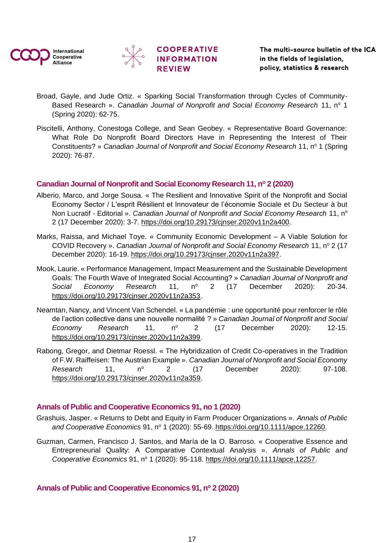![](_page_16_Picture_0.jpeg)

![](_page_16_Picture_1.jpeg)

![](_page_16_Picture_2.jpeg)

- Broad, Gayle, and Jude Ortiz. « Sparking Social Transformation through Cycles of Community-Based Research ». *Canadian Journal of Nonprofit and Social Economy Research* 11, n<sup>o</sup> 1 (Spring 2020): 62‑75.
- Piscitelli, Anthony, Conestoga College, and Sean Geobey. « Representative Board Governance: What Role Do Nonprofit Board Directors Have in Representing the Interest of Their Constituents? » *Canadian Journal of Nonprofit and Social Economy Research* 11, n<sup>o</sup> 1 (Spring 2020): 76‑87.

### <span id="page-16-0"></span>**Canadian Journal of Nonprofit and Social Economy Research 11, n<sup>o</sup> 2 (2020)**

- Alberio, Marco, and Jorge Sousa. « The Resilient and Innovative Spirit of the Nonprofit and Social Economy Sector / L'esprit Résilient et Innovateur de l'économie Sociale et Du Secteur à but Non Lucratif - Editorial ». *Canadian Journal of Nonprofit and Social Economy Research* 11, n<sup>o</sup> 2 (17 December 2020): 3‑7. [https://doi.org/10.29173/cjnser.2020v11n2a400.](https://doi.org/10.29173/cjnser.2020v11n2a400)
- Marks, Raissa, and Michael Toye. « Community Economic Development A Viable Solution for COVID Recovery ». *Canadian Journal of Nonprofit and Social Economy Research* 11, n<sup>o</sup> 2 (17 December 2020): 16‑19. [https://doi.org/10.29173/cjnser.2020v11n2a397.](https://doi.org/10.29173/cjnser.2020v11n2a397)
- Mook, Laurie. « Performance Management, Impact Measurement and the Sustainable Development Goals: The Fourth Wave of Integrated Social Accounting? » *Canadian Journal of Nonprofit and*  Social Economy Research 11, nº 2 (17 December 2020): 20-34. [https://doi.org/10.29173/cjnser.2020v11n2a353.](https://doi.org/10.29173/cjnser.2020v11n2a353)
- Neamtan, Nancy, and Vincent Van Schendel. « La pandémie : une opportunité pour renforcer le rôle de l'action collective dans une nouvelle normalité ? » *Canadian Journal of Nonprofit and Social Economy Research* 11, nº 2 (17 December 2020): 12-15. https://doi.org/10.29173/cinser.2020v11n2a399.
- Rabong, Gregor, and Dietmar Roessl. « The Hybridization of Credit Co-operatives in the Tradition of F.W. Raiffeisen: The Austrian Example ». *Canadian Journal of Nonprofit and Social Economy Research* 11, n<sup>o</sup> 2 (17 December 2020): 97-108. [https://doi.org/10.29173/cjnser.2020v11n2a359.](https://doi.org/10.29173/cjnser.2020v11n2a359)

### <span id="page-16-1"></span>**Annals of Public and Cooperative Economics 91, no 1 (2020)**

- Grashuis, Jasper. « Returns to Debt and Equity in Farm Producer Organizations ». *Annals of Public*  and Cooperative Economics 91, n<sup>o</sup> 1 (2020): 55-69. [https://doi.org/10.1111/apce.12260.](https://doi.org/10.1111/apce.12260)
- Guzman, Carmen, Francisco J. Santos, and María de la O. Barroso. « Cooperative Essence and Entrepreneurial Quality: A Comparative Contextual Analysis ». *Annals of Public and Cooperative Economics* 91, n<sup>o</sup> 1 (2020): 95‑118. [https://doi.org/10.1111/apce.12257.](https://doi.org/10.1111/apce.12257)

### <span id="page-16-2"></span>**Annals of Public and Cooperative Economics 91, n<sup>o</sup> 2 (2020)**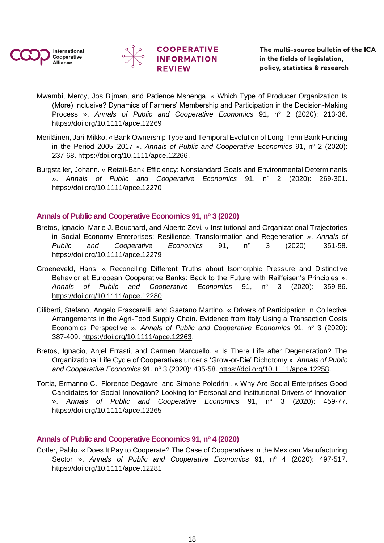![](_page_17_Picture_0.jpeg)

![](_page_17_Picture_1.jpeg)

![](_page_17_Picture_2.jpeg)

- Mwambi, Mercy, Jos Bijman, and Patience Mshenga. « Which Type of Producer Organization Is (More) Inclusive? Dynamics of Farmers' Membership and Participation in the Decision-Making Process ». Annals of Public and Cooperative Economics 91, nº 2 (2020): 213-36. [https://doi.org/10.1111/apce.12269.](https://doi.org/10.1111/apce.12269)
- Meriläinen, Jari-Mikko. « Bank Ownership Type and Temporal Evolution of Long-Term Bank Funding in the Period 2005–2017 ». Annals of Public and Cooperative Economics 91, nº 2 (2020): 237‑68. [https://doi.org/10.1111/apce.12266.](https://doi.org/10.1111/apce.12266)
- Burgstaller, Johann. « Retail-Bank Efficiency: Nonstandard Goals and Environmental Determinants ». Annals of Public and Cooperative Economics 91, n° 2 (2020): 269-301. [https://doi.org/10.1111/apce.12270.](https://doi.org/10.1111/apce.12270)

### <span id="page-17-0"></span>**Annals of Public and Cooperative Economics 91, n<sup>o</sup> 3 (2020)**

- Bretos, Ignacio, Marie J. Bouchard, and Alberto Zevi. « Institutional and Organizational Trajectories in Social Economy Enterprises: Resilience, Transformation and Regeneration ». *Annals of Public* and Cooperative Economics 91, nº 3 (2020): 351-58. [https://doi.org/10.1111/apce.12279.](https://doi.org/10.1111/apce.12279)
- Groeneveld, Hans. « Reconciling Different Truths about Isomorphic Pressure and Distinctive Behavior at European Cooperative Banks: Back to the Future with Raiffeisen's Principles ». Annals of Public and Cooperative Economics 91, nº 3 (2020): 359-86. [https://doi.org/10.1111/apce.12280.](https://doi.org/10.1111/apce.12280)
- Ciliberti, Stefano, Angelo Frascarelli, and Gaetano Martino. « Drivers of Participation in Collective Arrangements in the Agri-Food Supply Chain. Evidence from Italy Using a Transaction Costs Economics Perspective ». Annals of Public and Cooperative Economics 91, nº 3 (2020): 387‑409. [https://doi.org/10.1111/apce.12263.](https://doi.org/10.1111/apce.12263)
- Bretos, Ignacio, Anjel Errasti, and Carmen Marcuello. « Is There Life after Degeneration? The Organizational Life Cycle of Cooperatives under a 'Grow-or-Die' Dichotomy ». *Annals of Public*  and Cooperative Economics 91, nº 3 (2020): 435-58. [https://doi.org/10.1111/apce.12258.](https://doi.org/10.1111/apce.12258)
- Tortia, Ermanno C., Florence Degavre, and Simone Poledrini. « Why Are Social Enterprises Good Candidates for Social Innovation? Looking for Personal and Institutional Drivers of Innovation ». Annals of Public and Cooperative Economics 91, n° 3 (2020): 459-77. [https://doi.org/10.1111/apce.12265.](https://doi.org/10.1111/apce.12265)

### <span id="page-17-1"></span>**Annals of Public and Cooperative Economics 91, n<sup>o</sup> 4 (2020)**

Cotler, Pablo. « Does It Pay to Cooperate? The Case of Cooperatives in the Mexican Manufacturing Sector ». Annals of Public and Cooperative Economics 91, nº 4 (2020): 497-517. [https://doi.org/10.1111/apce.12281.](https://doi.org/10.1111/apce.12281)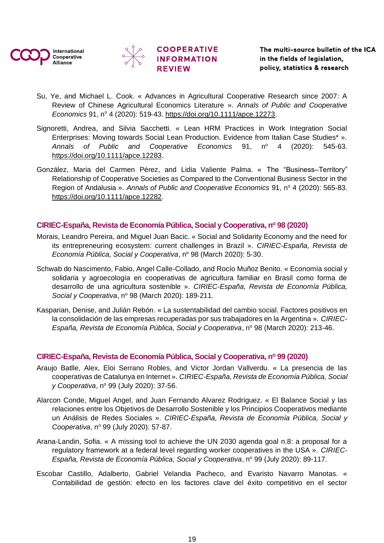![](_page_18_Picture_0.jpeg)

![](_page_18_Picture_1.jpeg)

![](_page_18_Picture_2.jpeg)

Su, Ye, and Michael L. Cook. « Advances in Agricultural Cooperative Research since 2007: A Review of Chinese Agricultural Economics Literature ». *Annals of Public and Cooperative Economics* 91, n<sup>o</sup> 4 (2020): 519‑43. [https://doi.org/10.1111/apce.12273.](https://doi.org/10.1111/apce.12273)

**COOPERATIVE** 

- Signoretti, Andrea, and Silvia Sacchetti. « Lean HRM Practices in Work Integration Social Enterprises: Moving towards Social Lean Production. Evidence from Italian Case Studies\* ». Annals of Public and Cooperative Economics 91, n<sup>o</sup> 4 (2020): 545-63. [https://doi.org/10.1111/apce.12283.](https://doi.org/10.1111/apce.12283)
- González, Maria del Carmen Pérez, and Lidia Valiente Palma. « The "Business–Territory" Relationship of Cooperative Societies as Compared to the Conventional Business Sector in the Region of Andalusia ». Annals of Public and Cooperative Economics 91, nº 4 (2020): 565-83. [https://doi.org/10.1111/apce.12282.](https://doi.org/10.1111/apce.12282)

### <span id="page-18-0"></span>**CIRIEC-España, Revista de Economía Pública, Social y Cooperativa, n<sup>o</sup> 98 (2020)**

- Morais, Leandro Pereira, and Miguel Juan Bacic. « Social and Solidarity Economy and the need for its entrepreneuring ecosystem: current challenges in Brazil ». *CIRIEC-España, Revista de Economía Pública, Social y Cooperativa, nº 98 (March 2020): 5-30.*
- Schwab do Nascimento, Fabio, Angel Calle-Collado, and Rocío Muñoz Benito. « Economía social y solidaria y agroecología en cooperativas de agricultura familiar en Brasil como forma de desarrollo de una agricultura sostenible ». *CIRIEC-España, Revista de Economía Pública, Social y Cooperativa, nº 98 (March 2020): 189-211.*
- Kasparian, Denise, and Julián Rebón. « La sustentabilidad del cambio social. Factores positivos en la consolidación de las empresas recuperadas por sus trabajadores en la Argentina ». *CIRIEC-España, Revista de Economía Pública, Social y Cooperativa, nº 98 (March 2020): 213-46.*

### <span id="page-18-1"></span>**CIRIEC-España, Revista de Economía Pública, Social y Cooperativa, n<sup>o</sup> 99 (2020)**

- Araujo Batlle, Alex, Eloi Serrano Robles, and Victor Jordan Vallverdu. « La presencia de las cooperativas de Catalunya en Internet ». *CIRIEC-España, Revista de Economía Pública, Social v* Cooperativa, nº 99 (July 2020): 37-56.
- Alarcon Conde, Miguel Angel, and Juan Fernando Alvarez Rodriguez. « El Balance Social y las relaciones entre los Objetivos de Desarrollo Sostenible y los Principios Cooperativos mediante un Análisis de Redes Sociales ». *CIRIEC-España, Revista de Economía Pública, Social y Cooperativa*, nº 99 (July 2020): 57-87.
- Arana-Landin, Sofia. « A missing tool to achieve the UN 2030 agenda goal n.8: a proposal for a regulatory framework at a federal level regarding worker cooperatives in the USA ». *CIRIEC-España, Revista de Economía Pública, Social y Cooperativa, nº 99 (July 2020): 89-117.*
- Escobar Castillo, Adalberto, Gabriel Velandia Pacheco, and Evaristo Navarro Manotas. « Contabilidad de gestión: efecto en los factores clave del éxito competitivo en el sector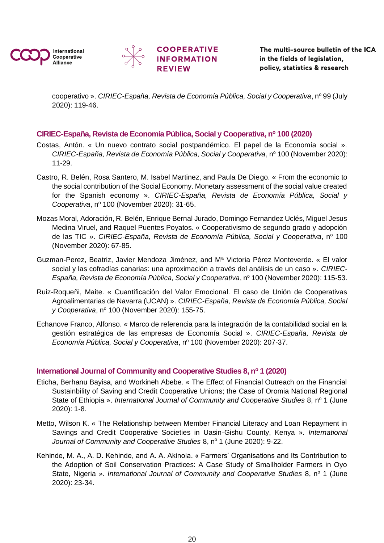![](_page_19_Picture_0.jpeg)

![](_page_19_Picture_1.jpeg)

![](_page_19_Picture_2.jpeg)

cooperativo ». *CIRIEC-España, Revista de Economía Pública, Social y Cooperativa*, nº 99 (July 2020): 119‑46.

### <span id="page-19-0"></span>**CIRIEC-España, Revista de Economía Pública, Social y Cooperativa, n<sup>o</sup> 100 (2020)**

- Costas, Antón. « Un nuevo contrato social postpandémico. El papel de la Economía social ». *CIRIEC-España, Revista de Economía Pública, Social y Cooperativa, nº 100 (November 2020):* 11‑29.
- Castro, R. Belén, Rosa Santero, M. Isabel Martinez, and Paula De Diego. « From the economic to the social contribution of the Social Economy. Monetary assessment of the social value created for the Spanish economy ». *CIRIEC-España, Revista de Economía Pública, Social y Cooperativa*, nº 100 (November 2020): 31-65.
- Mozas Moral, Adoración, R. Belén, Enrique Bernal Jurado, Domingo Fernandez Uclés, Miguel Jesus Medina Viruel, and Raquel Puentes Poyatos. « Cooperativismo de segundo grado y adopción de las TIC ». *CIRIEC-España, Revista de Economía Pública, Social y Cooperativa*, nº 100 (November 2020): 67‑85.
- Guzman-Perez, Beatriz, Javier Mendoza Jiménez, and M<sup>a</sup> Victoria Pérez Monteverde. « El valor social y las cofradías canarias: una aproximación a través del análisis de un caso ». *CIRIEC-*España, Revista de Economía Pública, Social y Cooperativa, nº 100 (November 2020): 115-53.
- Ruiz-Roqueñi, Maite. « Cuantificación del Valor Emocional. El caso de Unión de Cooperativas Agroalimentarias de Navarra (UCAN) ». *CIRIEC-España, Revista de Economía Pública, Social y Cooperativa*, nº 100 (November 2020): 155-75.
- Echanove Franco, Alfonso. « Marco de referencia para la integración de la contabilidad social en la gestión estratégica de las empresas de Economía Social ». *CIRIEC-España, Revista de Economía Pública, Social y Cooperativa, nº 100 (November 2020): 207-37.*

### <span id="page-19-1"></span>**International Journal of Community and Cooperative Studies 8, n<sup>o</sup> 1 (2020)**

- Eticha, Berhanu Bayisa, and Workineh Abebe. « The Effect of Financial Outreach on the Financial Sustainbility of Saving and Credit Cooperative Unions; the Case of Oromia National Regional State of Ethiopia ». *International Journal of Community and Cooperative Studies* 8, n<sup>o</sup> 1 (June 2020): 1‑8.
- Metto, Wilson K. « The Relationship between Member Financial Literacy and Loan Repayment in Savings and Credit Cooperative Societies in Uasin-Gishu County, Kenya ». *International Journal of Community and Cooperative Studies* 8, n<sup>o</sup> 1 (June 2020): 9-22.
- Kehinde, M. A., A. D. Kehinde, and A. A. Akinola. « Farmers' Organisations and Its Contribution to the Adoption of Soil Conservation Practices: A Case Study of Smallholder Farmers in Oyo State, Nigeria ». *International Journal of Community and Cooperative Studies 8, n<sup>o</sup> 1 (June* 2020): 23‑34.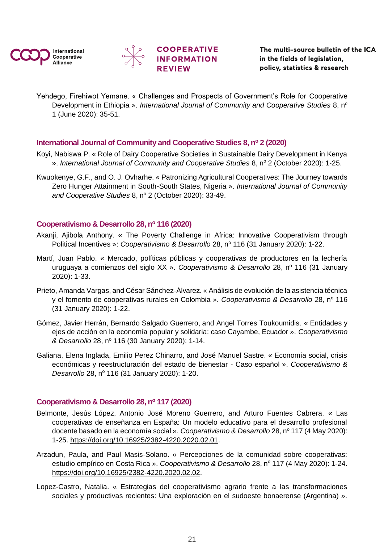![](_page_20_Picture_0.jpeg)

![](_page_20_Picture_1.jpeg)

![](_page_20_Picture_2.jpeg)

Yehdego, Firehiwot Yemane. « Challenges and Prospects of Government's Role for Cooperative Development in Ethiopia ». *International Journal of Community and Cooperative Studies* 8, n<sup>o</sup> 1 (June 2020): 35‑51.

### <span id="page-20-0"></span>**International Journal of Community and Cooperative Studies 8, n<sup>o</sup> 2 (2020)**

- Koyi, Nabiswa P. « Role of Dairy Cooperative Societies in Sustainable Dairy Development in Kenya ». International Journal of Community and Cooperative Studies 8, nº 2 (October 2020): 1-25.
- Kwuokenye, G.F., and O. J. Ovharhe. « Patronizing Agricultural Cooperatives: The Journey towards Zero Hunger Attainment in South-South States, Nigeria ». *International Journal of Community*  and Cooperative Studies 8, nº 2 (October 2020): 33-49.

### <span id="page-20-1"></span>**Cooperativismo & Desarrollo 28, n<sup>o</sup> 116 (2020)**

- Akanji, Ajibola Anthony. « The Poverty Challenge in Africa: Innovative Cooperativism through Political Incentives »: *Cooperativismo & Desarrollo* 28, nº 116 (31 January 2020): 1-22.
- Martí, Juan Pablo. « Mercado, políticas públicas y cooperativas de productores en la lechería uruguaya a comienzos del siglo XX ». Cooperativismo & Desarrollo 28, nº 116 (31 Januarv 2020): 1‑33.
- Prieto, Amanda Vargas, and César Sánchez-Álvarez. « Análisis de evolución de la asistencia técnica y el fomento de cooperativas rurales en Colombia ». Cooperativismo & Desarrollo 28, nº 116 (31 January 2020): 1‑22.
- Gómez, Javier Herrán, Bernardo Salgado Guerrero, and Angel Torres Toukoumidis. « Entidades y ejes de acción en la economía popular y solidaria: caso Cayambe, Ecuador ». *Cooperativismo & Desarrollo* 28, n<sup>o</sup> 116 (30 January 2020): 1‑14.
- Galiana, Elena Inglada, Emilio Perez Chinarro, and José Manuel Sastre. « Economía social, crisis económicas y reestructuración del estado de bienestar - Caso español ». *Cooperativismo & Desarrollo* 28, nº 116 (31 January 2020): 1-20.

### <span id="page-20-2"></span>**Cooperativismo & Desarrollo 28, n<sup>o</sup> 117 (2020)**

- Belmonte, Jesús López, Antonio José Moreno Guerrero, and Arturo Fuentes Cabrera. « Las cooperativas de enseñanza en España: Un modelo educativo para el desarrollo profesional docente basado en la economía social ». Cooperativismo & Desarrollo 28, nº 117 (4 May 2020): 1‑25. [https://doi.org/10.16925/2382-4220.2020.02.01.](https://doi.org/10.16925/2382-4220.2020.02.01)
- Arzadun, Paula, and Paul Masis-Solano. « Percepciones de la comunidad sobre cooperativas: estudio empírico en Costa Rica ». Cooperativismo & Desarrollo 28, nº 117 (4 May 2020): 1-24. [https://doi.org/10.16925/2382-4220.2020.02.02.](https://doi.org/10.16925/2382-4220.2020.02.02)
- Lopez-Castro, Natalia. « Estrategias del cooperativismo agrario frente a las transformaciones sociales y productivas recientes: Una exploración en el sudoeste bonaerense (Argentina) ».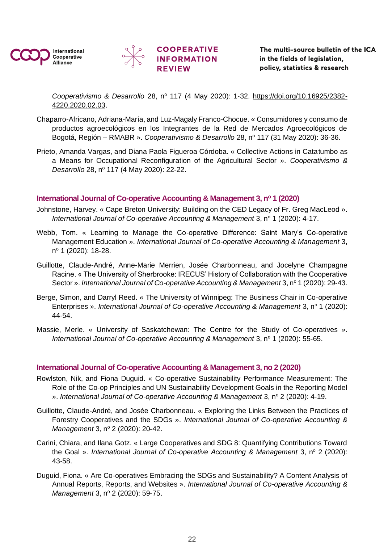![](_page_21_Picture_0.jpeg)

![](_page_21_Picture_1.jpeg)

*Cooperativismo & Desarrollo* 28, n<sup>o</sup> 117 (4 May 2020): 1‑32. [https://doi.org/10.16925/2382-](https://doi.org/10.16925/2382-4220.2020.02.03) [4220.2020.02.03.](https://doi.org/10.16925/2382-4220.2020.02.03)

- Chaparro-Africano, Adriana-María, and Luz-Magaly Franco-Chocue. « Consumidores y consumo de productos agroecológicos en los Integrantes de la Red de Mercados Agroecológicos de Bogotá, Región – RMABR ». Cooperativismo & Desarrollo 28, nº 117 (31 May 2020): 36-36.
- Prieto, Amanda Vargas, and Diana Paola Figueroa Córdoba. « Collective Actions in Catatumbo as a Means for Occupational Reconfiguration of the Agricultural Sector ». *Cooperativismo & Desarrollo* 28, nº 117 (4 May 2020): 22-22.

### <span id="page-21-0"></span>**International Journal of Co-operative Accounting & Management 3, n<sup>o</sup> 1 (2020)**

- Johnstone, Harvey. « Cape Breton University: Building on the CED Legacy of Fr. Greg MacLeod ». *International Journal of Co-operative Accounting & Management* 3, n° 1 (2020): 4-17.
- Webb, Tom. « Learning to Manage the Co-operative Difference: Saint Mary's Co-operative Management Education ». *International Journal of Co-operative Accounting & Management* 3, n<sup>o</sup> 1 (2020): 18-28.
- Guillotte, Claude-André, Anne-Marie Merrien, Josée Charbonneau, and Jocelyne Champagne Racine. « The University of Sherbrooke: IRECUS' History of Collaboration with the Cooperative Sector ». International Journal of Co-operative Accounting & Management 3, nº 1 (2020): 29-43.
- Berge, Simon, and Darryl Reed. « The University of Winnipeg: The Business Chair in Co-operative Enterprises ». *International Journal of Co-operative Accounting & Management* 3, n<sup>o</sup> 1 (2020): 44‑54.
- Massie, Merle. « University of Saskatchewan: The Centre for the Study of Co-operatives ». *International Journal of Co-operative Accounting & Management* 3, n<sup>o</sup> 1 (2020): 55-65.

### <span id="page-21-1"></span>**International Journal of Co-operative Accounting & Management 3, no 2 (2020)**

- Rowlston, Nik, and Fiona Duguid. « Co-operative Sustainability Performance Measurement: The Role of the Co-op Principles and UN Sustainability Development Goals in the Reporting Model ». International Journal of Co-operative Accounting & Management 3, nº 2 (2020): 4-19.
- Guillotte, Claude-André, and Josée Charbonneau. « Exploring the Links Between the Practices of Forestry Cooperatives and the SDGs ». *International Journal of Co-operative Accounting & Management* 3, nº 2 (2020): 20-42.
- Carini, Chiara, and Ilana Gotz. « Large Cooperatives and SDG 8: Quantifying Contributions Toward the Goal ». *International Journal of Co-operative Accounting & Management* 3, n° 2 (2020): 43‑58.
- Duguid, Fiona. « Are Co-operatives Embracing the SDGs and Sustainability? A Content Analysis of Annual Reports, Reports, and Websites ». *International Journal of Co-operative Accounting & Management* 3, nº 2 (2020): 59-75.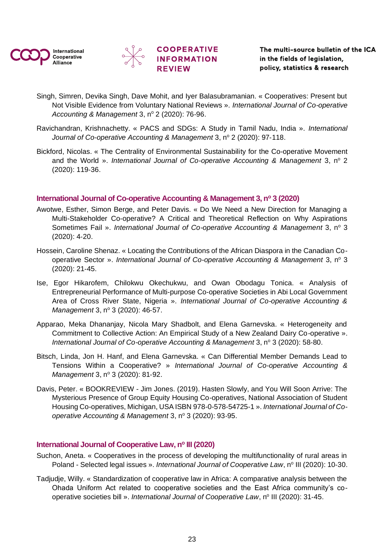![](_page_22_Picture_0.jpeg)

![](_page_22_Picture_1.jpeg)

![](_page_22_Picture_2.jpeg)

- Singh, Simren, Devika Singh, Dave Mohit, and Iyer Balasubramanian. « Cooperatives: Present but Not Visible Evidence from Voluntary National Reviews ». *International Journal of Co-operative Accounting & Management* 3, nº 2 (2020): 76-96.
- Ravichandran, Krishnachetty. « PACS and SDGs: A Study in Tamil Nadu, India ». *International*  Journal of Co-operative Accounting & Management 3, nº 2 (2020): 97-118.
- Bickford, Nicolas. « The Centrality of Environmental Sustainability for the Co-operative Movement and the World ». *International Journal of Co-operative Accounting & Management* 3, n° 2 (2020): 119‑36.

### <span id="page-22-0"></span>**International Journal of Co-operative Accounting & Management 3, n<sup>o</sup> 3 (2020)**

- Awotwe, Esther, Simon Berge, and Peter Davis. « Do We Need a New Direction for Managing a Multi-Stakeholder Co-operative? A Critical and Theoretical Reflection on Why Aspirations Sometimes Fail ». *International Journal of Co-operative Accounting & Management* 3, n<sup>o</sup> 3 (2020): 4‑20.
- Hossein, Caroline Shenaz. « Locating the Contributions of the African Diaspora in the Canadian Cooperative Sector ». *International Journal of Co-operative Accounting & Management* 3, n° 3 (2020): 21‑45.
- Ise, Egor Hikarofem, Chilokwu Okechukwu, and Owan Obodagu Tonica. « Analysis of Entrepreneurial Performance of Multi-purpose Co-operative Societies in Abi Local Government Area of Cross River State, Nigeria ». *International Journal of Co-operative Accounting & Management* 3, nº 3 (2020): 46-57.
- Apparao, Meka Dhananjay, Nicola Mary Shadbolt, and Elena Garnevska. « Heterogeneity and Commitment to Collective Action: An Empirical Study of a New Zealand Dairy Co-operative ». *International Journal of Co-operative Accounting & Management* 3, n° 3 (2020): 58-80.
- Bitsch, Linda, Jon H. Hanf, and Elena Garnevska. « Can Differential Member Demands Lead to Tensions Within a Cooperative? » *International Journal of Co-operative Accounting & Management* 3, nº 3 (2020): 81-92.
- Davis, Peter. « BOOKREVIEW Jim Jones. (2019). Hasten Slowly, and You Will Soon Arrive: The Mysterious Presence of Group Equity Housing Co-operatives, National Association of Student Housing Co-operatives, Michigan, USA ISBN 978-0-578-54725-1 ». *International Journal of Cooperative Accounting & Management* 3, nº 3 (2020): 93-95.

### <span id="page-22-1"></span>**International Journal of Cooperative Law, n<sup>o</sup> III (2020)**

- Suchon, Aneta. « Cooperatives in the process of developing the multifunctionality of rural areas in Poland - Selected legal issues ». International Journal of Cooperative Law, nº III (2020): 10-30.
- Tadjudje, Willy. « Standardization of cooperative law in Africa: A comparative analysis between the Ohada Uniform Act related to cooperative societies and the East Africa community's cooperative societies bill ». *International Journal of Cooperative Law*, nº III (2020): 31-45.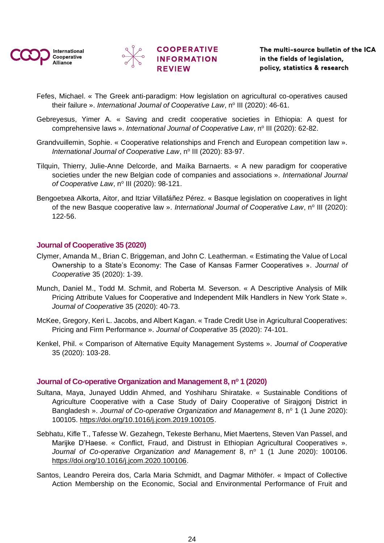![](_page_23_Picture_0.jpeg)

![](_page_23_Picture_1.jpeg)

- Fefes, Michael. « The Greek anti-paradigm: How legislation on agricultural co-operatives caused their failure ». *International Journal of Cooperative Law*, n<sup>o</sup> III (2020): 46-61.
- Gebreyesus, Yimer A. « Saving and credit cooperative societies in Ethiopia: A quest for comprehensive laws ». *International Journal of Cooperative Law*, nº III (2020): 62-82.
- Grandvuillemin, Sophie. « Cooperative relationships and French and European competition law ». International Journal of Cooperative Law, nº III (2020): 83-97.
- Tilquin, Thierry, Julie-Anne Delcorde, and Maïka Barnaerts. « A new paradigm for cooperative societies under the new Belgian code of companies and associations ». *International Journal*  of Cooperative Law, nº III (2020): 98-121.
- Bengoetxea Alkorta, Aitor, and Itziar Villafáñez Pérez. « Basque legislation on cooperatives in light of the new Basque cooperative law ». International Journal of Cooperative Law, n<sup>o</sup> III (2020): 122‑56.

### <span id="page-23-0"></span>**Journal of Cooperative 35 (2020)**

- Clymer, Amanda M., Brian C. Briggeman, and John C. Leatherman. « Estimating the Value of Local Ownership to a State's Economy: The Case of Kansas Farmer Cooperatives ». *Journal of Cooperative* 35 (2020): 1‑39.
- Munch, Daniel M., Todd M. Schmit, and Roberta M. Severson. « A Descriptive Analysis of Milk Pricing Attribute Values for Cooperative and Independent Milk Handlers in New York State ». *Journal of Cooperative* 35 (2020): 40‑73.
- McKee, Gregory, Keri L. Jacobs, and Albert Kagan. « Trade Credit Use in Agricultural Cooperatives: Pricing and Firm Performance ». *Journal of Cooperative* 35 (2020): 74‑101.
- Kenkel, Phil. « Comparison of Alternative Equity Management Systems ». *Journal of Cooperative* 35 (2020): 103‑28.

### <span id="page-23-1"></span>**Journal of Co-operative Organization and Management 8, n<sup>o</sup> 1 (2020)**

- Sultana, Maya, Junayed Uddin Ahmed, and Yoshiharu Shiratake. « Sustainable Conditions of Agriculture Cooperative with a Case Study of Dairy Cooperative of Sirajgonj District in Bangladesh ». *Journal of Co-operative Organization and Management* 8, n° 1 (1 June 2020): 100105. [https://doi.org/10.1016/j.jcom.2019.100105.](https://doi.org/10.1016/j.jcom.2019.100105)
- Sebhatu, Kifle T., Tafesse W. Gezahegn, Tekeste Berhanu, Miet Maertens, Steven Van Passel, and Marijke D'Haese. « Conflict, Fraud, and Distrust in Ethiopian Agricultural Cooperatives ». Journal of Co-operative Organization and Management 8, nº 1 (1 June 2020): 100106. [https://doi.org/10.1016/j.jcom.2020.100106.](https://doi.org/10.1016/j.jcom.2020.100106)
- Santos, Leandro Pereira dos, Carla Maria Schmidt, and Dagmar Mithöfer. « Impact of Collective Action Membership on the Economic, Social and Environmental Performance of Fruit and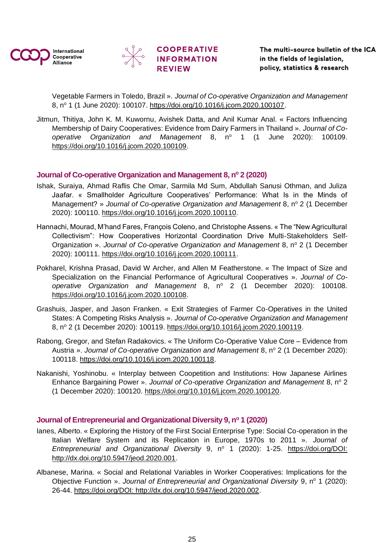![](_page_24_Picture_0.jpeg)

![](_page_24_Picture_1.jpeg)

![](_page_24_Picture_2.jpeg)

Vegetable Farmers in Toledo, Brazil ». *Journal of Co-operative Organization and Management* 8, nº 1 (1 June 2020): 100107. https://doi.org/10.1016/i.jcom.2020.100107.

Jitmun, Thitiya, John K. M. Kuwornu, Avishek Datta, and Anil Kumar Anal. « Factors Influencing Membership of Dairy Cooperatives: Evidence from Dairy Farmers in Thailand ». *Journal of Cooperative Organization and Management* 8, n<sup>o</sup> 1 (1 June 2020): 100109. [https://doi.org/10.1016/j.jcom.2020.100109.](https://doi.org/10.1016/j.jcom.2020.100109)

### <span id="page-24-0"></span>**Journal of Co-operative Organization and Management 8, n<sup>o</sup> 2 (2020)**

- Ishak, Suraiya, Ahmad Raflis Che Omar, Sarmila Md Sum, Abdullah Sanusi Othman, and Juliza Jaafar. « Smallholder Agriculture Cooperatives' Performance: What Is in the Minds of Management? » *Journal of Co-operative Organization and Management* 8, nº 2 (1 December 2020): 100110. [https://doi.org/10.1016/j.jcom.2020.100110.](https://doi.org/10.1016/j.jcom.2020.100110)
- Hannachi, Mourad, M'hand Fares, François Coleno, and Christophe Assens. « The "New Agricultural Collectivism": How Cooperatives Horizontal Coordination Drive Multi-Stakeholders Self-Organization ». *Journal of Co-operative Organization and Management* 8, n° 2 (1 December 2020): 100111. [https://doi.org/10.1016/j.jcom.2020.100111.](https://doi.org/10.1016/j.jcom.2020.100111)
- Pokharel, Krishna Prasad, David W Archer, and Allen M Featherstone. « The Impact of Size and Specialization on the Financial Performance of Agricultural Cooperatives ». *Journal of Co*operative Organization and Management 8, nº 2 (1 December 2020): 100108. [https://doi.org/10.1016/j.jcom.2020.100108.](https://doi.org/10.1016/j.jcom.2020.100108)
- Grashuis, Jasper, and Jason Franken. « Exit Strategies of Farmer Co-Operatives in the United States: A Competing Risks Analysis ». *Journal of Co-operative Organization and Management* 8, nº 2 (1 December 2020): 100119. [https://doi.org/10.1016/j.jcom.2020.100119.](https://doi.org/10.1016/j.jcom.2020.100119)
- Rabong, Gregor, and Stefan Radakovics. « The Uniform Co-Operative Value Core Evidence from Austria ». *Journal of Co-operative Organization and Management* 8, n° 2 (1 December 2020): 100118. [https://doi.org/10.1016/j.jcom.2020.100118.](https://doi.org/10.1016/j.jcom.2020.100118)
- Nakanishi, Yoshinobu. « Interplay between Coopetition and Institutions: How Japanese Airlines Enhance Bargaining Power ». *Journal of Co-operative Organization and Management* 8, n° 2 (1 December 2020): 100120. [https://doi.org/10.1016/j.jcom.2020.100120.](https://doi.org/10.1016/j.jcom.2020.100120)

### <span id="page-24-1"></span>**Journal of Entrepreneurial and Organizational Diversity 9, n<sup>o</sup> 1 (2020)**

- Ianes, Alberto. « Exploring the History of the First Social Enterprise Type: Social Co-operation in the Italian Welfare System and its Replication in Europe, 1970s to 2011 ». *Journal of Entrepreneurial and Organizational Diversity* 9, n<sup>o</sup> 1 (2020): 1-25. https://doi.org/DOI: [http://dx.doi.org/10.5947/jeod.2020.001.](https://doi.org/DOI:%20http:/dx.doi.org/10.5947/jeod.2020.001)
- Albanese, Marina. « Social and Relational Variables in Worker Cooperatives: Implications for the Objective Function ». *Journal of Entrepreneurial and Organizational Diversity* 9, n<sup>o</sup> 1 (2020): 26‑44. [https://doi.org/DOI: http://dx.doi.org/10.5947/jeod.2020.002.](https://doi.org/DOI:%20http:/dx.doi.org/10.5947/jeod.2020.002)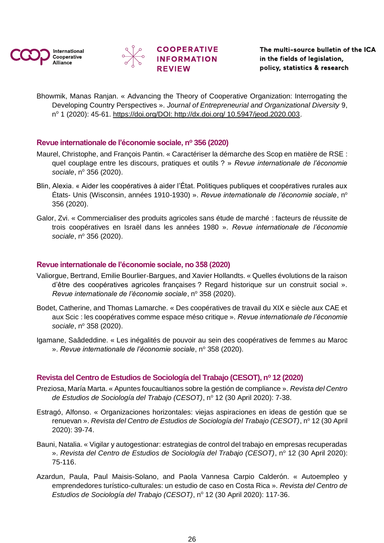![](_page_25_Picture_0.jpeg)

![](_page_25_Picture_1.jpeg)

Bhowmik, Manas Ranjan. « Advancing the Theory of Cooperative Organization: Interrogating the Developing Country Perspectives ». *Journal of Entrepreneurial and Organizational Diversity* 9, nº 1 (2020): 45-61. [https://doi.org/DOI: http://dx.doi.org/ 10.5947/jeod.2020.003.](https://doi.org/DOI:%20http:/dx.doi.org/%2010.5947/jeod.2020.003)

### <span id="page-25-0"></span>**Revue internationale de l'économie sociale, n<sup>o</sup> 356 (2020)**

- Maurel, Christophe, and François Pantin. « Caractériser la démarche des Scop en matière de RSE : quel couplage entre les discours, pratiques et outils ? » *Revue internationale de l'économie sociale, nº 356 (2020).*
- Blin, Alexia. « Aider les coopératives à aider l'État. Politiques publiques et coopératives rurales aux États- Unis (Wisconsin, années 1910-1930) ». *Revue internationale de l'économie sociale*, n<sup>o</sup> 356 (2020).
- Galor, Zvi. « Commercialiser des produits agricoles sans étude de marché : facteurs de réussite de trois coopératives en Israël dans les années 1980 ». *Revue internationale de l'économie sociale, nº 356 (2020).*

### <span id="page-25-1"></span>**Revue internationale de l'économie sociale, no 358 (2020)**

- Valiorgue, Bertrand, Emilie Bourlier-Bargues, and Xavier Hollandts. « Quelles évolutions de la raison d'être des coopératives agricoles françaises ? Regard historique sur un construit social ». *Revue internationale de l'économie sociale*, nº 358 (2020).
- Bodet, Catherine, and Thomas Lamarche. « Des coopératives de travail du XIX e siècle aux CAE et aux Scic : les coopératives comme espace méso critique ». *Revue internationale de l'économie sociale, nº 358 (2020).*
- Igamane, Saâdeddine. « Les inégalités de pouvoir au sein des coopératives de femmes au Maroc ». Revue internationale de l'économie sociale, nº 358 (2020).

### <span id="page-25-2"></span>**Revista del Centro de Estudios de Sociología del Trabajo (CESOT), n<sup>o</sup> 12 (2020)**

- Preziosa, María Marta. « Apuntes foucaultianos sobre la gestión de compliance ». *Revista del Centro de Estudios de Sociología del Trabajo (CESOT)*, nº 12 (30 April 2020): 7-38.
- Estragó, Alfonso. « Organizaciones horizontales: viejas aspiraciones en ideas de gestión que se renuevan ». *Revista del Centro de Estudios de Sociología del Trabajo (CESOT)*, nº 12 (30 April 2020): 39‑74.
- Bauni, Natalia. « Vigilar y autogestionar: estrategias de control del trabajo en empresas recuperadas ». *Revista del Centro de Estudios de Sociología del Trabajo (CESOT)*, nº 12 (30 April 2020): 75‑116.
- Azardun, Paula, Paul Maisis-Solano, and Paola Vannesa Carpio Calderón. « Autoempleo y emprendedores turístico-culturales: un estudio de caso en Costa Rica ». *Revista del Centro de Estudios de Sociología del Trabajo (CESOT)*, nº 12 (30 April 2020): 117-36.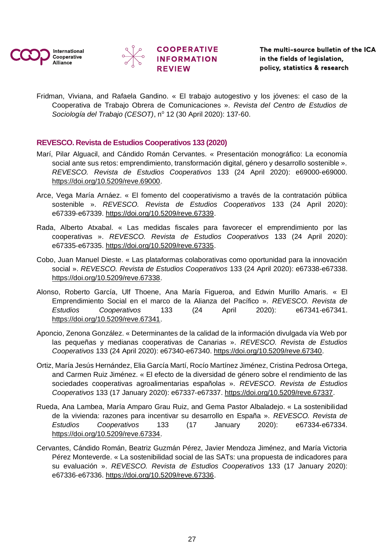![](_page_26_Picture_0.jpeg)

![](_page_26_Picture_1.jpeg)

![](_page_26_Picture_2.jpeg)

Fridman, Viviana, and Rafaela Gandino. « El trabajo autogestivo y los jóvenes: el caso de la Cooperativa de Trabajo Obrera de Comunicaciones ». *Revista del Centro de Estudios de Sociología del Trabajo (CESOT)*, nº 12 (30 April 2020): 137-60.

### <span id="page-26-0"></span>**REVESCO. Revista de Estudios Cooperativos 133 (2020)**

- Marí, Pilar Alguacil, and Cándido Román Cervantes. « Presentación monográfico: La economía social ante sus retos: emprendimiento, transformación digital, género y desarrollo sostenible ». *REVESCO. Revista de Estudios Cooperativos* 133 (24 April 2020): e69000‑e69000. [https://doi.org/10.5209/reve.69000.](https://doi.org/10.5209/reve.69000)
- Arce, Vega María Arnáez. « El fomento del cooperativismo a través de la contratación pública sostenible ». *REVESCO. Revista de Estudios Cooperativos* 133 (24 April 2020): e67339‑e67339. [https://doi.org/10.5209/reve.67339.](https://doi.org/10.5209/reve.67339)
- Rada, Alberto Atxabal. « Las medidas fiscales para favorecer el emprendimiento por las cooperativas ». *REVESCO. Revista de Estudios Cooperativos* 133 (24 April 2020): e67335‑e67335. [https://doi.org/10.5209/reve.67335.](https://doi.org/10.5209/reve.67335)
- Cobo, Juan Manuel Dieste. « Las plataformas colaborativas como oportunidad para la innovación social ». *REVESCO. Revista de Estudios Cooperativos* 133 (24 April 2020): e67338‑e67338. [https://doi.org/10.5209/reve.67338.](https://doi.org/10.5209/reve.67338)
- Alonso, Roberto García, Ulf Thoene, Ana María Figueroa, and Edwin Murillo Amaris. « El Emprendimiento Social en el marco de la Alianza del Pacífico ». *REVESCO. Revista de Estudios Cooperativos* 133 (24 April 2020): e67341‑e67341. [https://doi.org/10.5209/reve.67341.](https://doi.org/10.5209/reve.67341)
- Aponcio, Zenona González. « Determinantes de la calidad de la información divulgada vía Web por las pequeñas y medianas cooperativas de Canarias ». *REVESCO. Revista de Estudios Cooperativos* 133 (24 April 2020): e67340‑e67340. [https://doi.org/10.5209/reve.67340.](https://doi.org/10.5209/reve.67340)
- Ortiz, María Jesús Hernández, Elia García Martí, Rocío Martínez Jiménez, Cristina Pedrosa Ortega, and Carmen Ruiz Jiménez. « El efecto de la diversidad de género sobre el rendimiento de las sociedades cooperativas agroalimentarias españolas ». *REVESCO. Revista de Estudios Cooperativos* 133 (17 January 2020): e67337‑e67337. [https://doi.org/10.5209/reve.67337.](https://doi.org/10.5209/reve.67337)
- Rueda, Ana Lambea, María Amparo Grau Ruiz, and Gema Pastor Albaladejo. « La sostenibilidad de la vivienda: razones para incentivar su desarrollo en España ». *REVESCO. Revista de Estudios Cooperativos* 133 (17 January 2020): e67334‑e67334. [https://doi.org/10.5209/reve.67334.](https://doi.org/10.5209/reve.67334)
- Cervantes, Cándido Román, Beatriz Guzmán Pérez, Javier Mendoza Jiménez, and María Victoria Pérez Monteverde. « La sostenibilidad social de las SATs: una propuesta de indicadores para su evaluación ». *REVESCO. Revista de Estudios Cooperativos* 133 (17 January 2020): e67336‑e67336. [https://doi.org/10.5209/reve.67336.](https://doi.org/10.5209/reve.67336)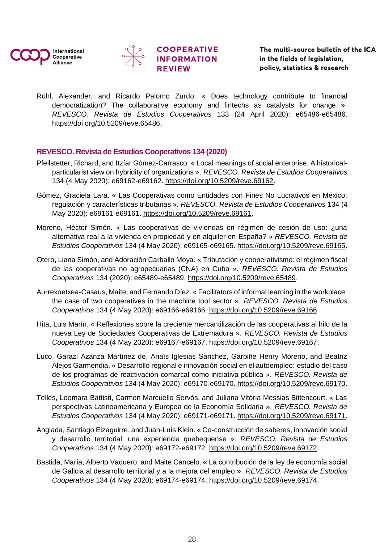![](_page_27_Picture_0.jpeg)

![](_page_27_Picture_1.jpeg)

![](_page_27_Picture_2.jpeg)

Rühl, Alexander, and Ricardo Palomo Zurdo. « Does technology contribute to financial democratization? The collaborative economy and fintechs as catalysts for change ». *REVESCO. Revista de Estudios Cooperativos* 133 (24 April 2020): e65486‑e65486. [https://doi.org/10.5209/reve.65486.](https://doi.org/10.5209/reve.65486)

### <span id="page-27-0"></span>**REVESCO. Revista de Estudios Cooperativos 134 (2020)**

- Pfeilstetter, Richard, and Itzíar Gómez-Carrasco. « Local meanings of social enterprise. A historicalparticularist view on hybridity of organizations ». *REVESCO. Revista de Estudios Cooperativos* 134 (4 May 2020): e69162‑e69162. [https://doi.org/10.5209/reve.69162.](https://doi.org/10.5209/reve.69162)
- Gómez, Graciela Lara. « Las Cooperativas como Entidades con Fines No Lucrativos en México: regulación y características tributarias ». *REVESCO. Revista de Estudios Cooperativos* 134 (4 May 2020): e69161‑e69161. [https://doi.org/10.5209/reve.69161.](https://doi.org/10.5209/reve.69161)
- Moreno, Héctor Simón. « Las cooperativas de viviendas en régimen de cesión de uso: ¿una alternativa real a la vivienda en propiedad y en alquiler en España? » *REVESCO. Revista de Estudios Cooperativos* 134 (4 May 2020): e69165‑e69165. [https://doi.org/10.5209/reve.69165.](https://doi.org/10.5209/reve.69165)
- Otero, Liana Simón, and Adoración Carballo Moya. « Tributación y cooperativismo: el régimen fiscal de las cooperativas no agropecuarias (CNA) en Cuba ». *REVESCO. Revista de Estudios Cooperativos* 134 (2020): e65489‑e65489. [https://doi.org/10.5209/reve.65489.](https://doi.org/10.5209/reve.65489)
- Aurrekoetxea-Casaus, Maite, and Fernando Díez. « Facilitators of informal learning in the workplace: the case of two cooperatives in the machine tool sector ». *REVESCO. Revista de Estudios Cooperativos* 134 (4 May 2020): e69166‑e69166. [https://doi.org/10.5209/reve.69166.](https://doi.org/10.5209/reve.69166)
- Hita, Luis Marín. « Reflexiones sobre la creciente mercantilización de las cooperativas al hilo de la nueva Ley de Sociedades Cooperativas de Extremadura ». *REVESCO. Revista de Estudios Cooperativos* 134 (4 May 2020): e69167‑e69167. [https://doi.org/10.5209/reve.69167.](https://doi.org/10.5209/reve.69167)
- Luco, Garazi Azanza Martínez de, Anaïs Iglesias Sánchez, Garbiñe Henry Moreno, and Beatriz Alejos Garmendia. « Desarrollo regional e innovación social en el autoempleo: estudio del caso de los programas de reactivación comarcal como iniciativa pública ». *REVESCO. Revista de Estudios Cooperativos* 134 (4 May 2020): e69170‑e69170. [https://doi.org/10.5209/reve.69170.](https://doi.org/10.5209/reve.69170)
- Telles, Leomara Battisti, Carmen Marcuello Servós, and Juliana Vitória Messias Bittencourt. « Las perspectivas Latinoamericana y Europea de la Economía Solidaria ». *REVESCO. Revista de Estudios Cooperativos* 134 (4 May 2020): e69171‑e69171. [https://doi.org/10.5209/reve.69171.](https://doi.org/10.5209/reve.69171)
- Anglada, Santiago Eizaguirre, and Juan-Luís Klein. « Co-construcción de saberes, innovación social y desarrollo territorial: una experiencia quebequense ». *REVESCO. Revista de Estudios Cooperativos* 134 (4 May 2020): e69172‑e69172. [https://doi.org/10.5209/reve.69172.](https://doi.org/10.5209/reve.69172)
- Bastida, María, Alberto Vaquero, and Maite Cancelo. « La contribución de la ley de economía social de Galicia al desarrollo territorial y a la mejora del empleo ». *REVESCO. Revista de Estudios Cooperativos* 134 (4 May 2020): e69174‑e69174. [https://doi.org/10.5209/reve.69174.](https://doi.org/10.5209/reve.69174)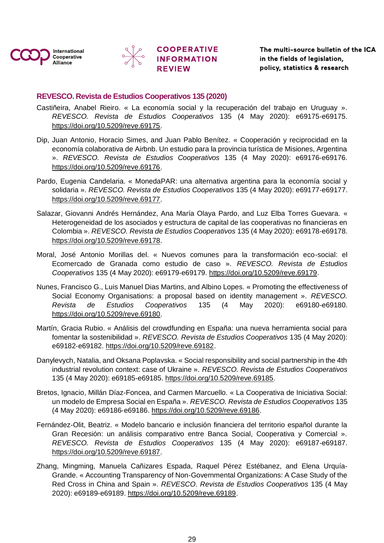![](_page_28_Picture_0.jpeg)

![](_page_28_Picture_1.jpeg)

### <span id="page-28-0"></span>**REVESCO. Revista de Estudios Cooperativos 135 (2020)**

- Castiñeira, Anabel Rieiro. « La economía social y la recuperación del trabajo en Uruguay ». *REVESCO. Revista de Estudios Cooperativos* 135 (4 May 2020): e69175‑e69175. [https://doi.org/10.5209/reve.69175.](https://doi.org/10.5209/reve.69175)
- Dip, Juan Antonio, Horacio Simes, and Juan Pablo Benítez. « Cooperación y reciprocidad en la economía colaborativa de Airbnb. Un estudio para la provincia turística de Misiones, Argentina ». *REVESCO. Revista de Estudios Cooperativos* 135 (4 May 2020): e69176‑e69176. [https://doi.org/10.5209/reve.69176.](https://doi.org/10.5209/reve.69176)
- Pardo, Eugenia Candelaria. « MonedaPAR: una alternativa argentina para la economía social y solidaria ». *REVESCO. Revista de Estudios Cooperativos* 135 (4 May 2020): e69177‑e69177. [https://doi.org/10.5209/reve.69177.](https://doi.org/10.5209/reve.69177)
- Salazar, Giovanni Andrés Hernández, Ana María Olaya Pardo, and Luz Elba Torres Guevara. « Heterogeneidad de los asociados y estructura de capital de las cooperativas no financieras en Colombia ». *REVESCO. Revista de Estudios Cooperativos* 135 (4 May 2020): e69178‑e69178. [https://doi.org/10.5209/reve.69178.](https://doi.org/10.5209/reve.69178)
- Moral, José Antonio Morillas del. « Nuevos comunes para la transformación eco-social: el Ecomercado de Granada como estudio de caso ». *REVESCO. Revista de Estudios Cooperativos* 135 (4 May 2020): e69179‑e69179. [https://doi.org/10.5209/reve.69179.](https://doi.org/10.5209/reve.69179)
- Nunes, Francisco G., Luis Manuel Dias Martins, and Albino Lopes. « Promoting the effectiveness of Social Economy Organisations: a proposal based on identity management ». *REVESCO. Revista de Estudios Cooperativos* 135 (4 May 2020): e69180‑e69180. [https://doi.org/10.5209/reve.69180.](https://doi.org/10.5209/reve.69180)
- Martín, Gracia Rubio. « Análisis del crowdfunding en España: una nueva herramienta social para fomentar la sostenibilidad ». *REVESCO. Revista de Estudios Cooperativos* 135 (4 May 2020): e69182‑e69182. [https://doi.org/10.5209/reve.69182.](https://doi.org/10.5209/reve.69182)
- Danylevych, Natalia, and Oksana Poplavska. « Social responsibility and social partnership in the 4th industrial revolution context: case of Ukraine ». *REVESCO. Revista de Estudios Cooperativos* 135 (4 May 2020): e69185‑e69185. [https://doi.org/10.5209/reve.69185.](https://doi.org/10.5209/reve.69185)
- Bretos, Ignacio, Millán Díaz-Foncea, and Carmen Marcuello. « La Cooperativa de Iniciativa Social: un modelo de Empresa Social en España ». *REVESCO. Revista de Estudios Cooperativos* 135 (4 May 2020): e69186‑e69186. [https://doi.org/10.5209/reve.69186.](https://doi.org/10.5209/reve.69186)
- Fernández-Olit, Beatriz. « Modelo bancario e inclusión financiera del territorio español durante la Gran Recesión: un análisis comparativo entre Banca Social, Cooperativa y Comercial ». *REVESCO. Revista de Estudios Cooperativos* 135 (4 May 2020): e69187‑e69187. [https://doi.org/10.5209/reve.69187.](https://doi.org/10.5209/reve.69187)
- Zhang, Mingming, Manuela Cañizares Espada, Raquel Pérez Estébanez, and Elena Urquía-Grande. « Accounting Transparency of Non-Governmental Organizations: A Case Study of the Red Cross in China and Spain ». *REVESCO. Revista de Estudios Cooperativos* 135 (4 May 2020): e69189‑e69189. [https://doi.org/10.5209/reve.69189.](https://doi.org/10.5209/reve.69189)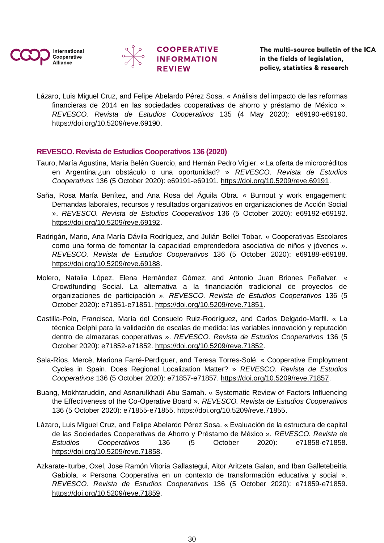![](_page_29_Picture_0.jpeg)

![](_page_29_Picture_1.jpeg)

![](_page_29_Picture_2.jpeg)

Lázaro, Luis Miguel Cruz, and Felipe Abelardo Pérez Sosa. « Análisis del impacto de las reformas financieras de 2014 en las sociedades cooperativas de ahorro y préstamo de México ». *REVESCO. Revista de Estudios Cooperativos* 135 (4 May 2020): e69190‑e69190. [https://doi.org/10.5209/reve.69190.](https://doi.org/10.5209/reve.69190)

### <span id="page-29-0"></span>**REVESCO. Revista de Estudios Cooperativos 136 (2020)**

- Tauro, María Agustina, María Belén Guercio, and Hernán Pedro Vigier. « La oferta de microcréditos en Argentina:¿un obstáculo o una oportunidad? » *REVESCO. Revista de Estudios Cooperativos* 136 (5 October 2020): e69191‑e69191. [https://doi.org/10.5209/reve.69191.](https://doi.org/10.5209/reve.69191)
- Saña, Rosa María Benítez, and Ana Rosa del Águila Obra. « Burnout y work engagement: Demandas laborales, recursos y resultados organizativos en organizaciones de Acción Social ». *REVESCO. Revista de Estudios Cooperativos* 136 (5 October 2020): e69192‑e69192. [https://doi.org/10.5209/reve.69192.](https://doi.org/10.5209/reve.69192)
- Radrigán, Mario, Ana María Dávila Rodríguez, and Julián Bellei Tobar. « Cooperativas Escolares como una forma de fomentar la capacidad emprendedora asociativa de niños y jóvenes ». *REVESCO. Revista de Estudios Cooperativos* 136 (5 October 2020): e69188‑e69188. [https://doi.org/10.5209/reve.69188.](https://doi.org/10.5209/reve.69188)
- Molero, Natalia López, Elena Hernández Gómez, and Antonio Juan Briones Peñalver. « Crowdfunding Social. La alternativa a la financiación tradicional de proyectos de organizaciones de participación ». *REVESCO. Revista de Estudios Cooperativos* 136 (5 October 2020): e71851‑e71851. [https://doi.org/10.5209/reve.71851.](https://doi.org/10.5209/reve.71851)
- Castilla-Polo, Francisca, María del Consuelo Ruiz-Rodríguez, and Carlos Delgado-Marfil. « La técnica Delphi para la validación de escalas de medida: las variables innovación y reputación dentro de almazaras cooperativas ». *REVESCO. Revista de Estudios Cooperativos* 136 (5 October 2020): e71852‑e71852. [https://doi.org/10.5209/reve.71852.](https://doi.org/10.5209/reve.71852)
- Sala-Ríos, Mercè, Mariona Farré-Perdiguer, and Teresa Torres-Solé. « Cooperative Employment Cycles in Spain. Does Regional Localization Matter? » *REVESCO. Revista de Estudios Cooperativos* 136 (5 October 2020): e71857‑e71857. [https://doi.org/10.5209/reve.71857.](https://doi.org/10.5209/reve.71857)
- Buang, Mokhtaruddin, and Asnarulkhadi Abu Samah. « Systematic Review of Factors Influencing the Effectiveness of the Co-Operative Board ». *REVESCO. Revista de Estudios Cooperativos* 136 (5 October 2020): e71855‑e71855. [https://doi.org/10.5209/reve.71855.](https://doi.org/10.5209/reve.71855)
- Lázaro, Luis Miguel Cruz, and Felipe Abelardo Pérez Sosa. « Evaluación de la estructura de capital de las Sociedades Cooperativas de Ahorro y Préstamo de México ». *REVESCO. Revista de Estudios Cooperativos* 136 (5 October 2020): e71858‑e71858. [https://doi.org/10.5209/reve.71858.](https://doi.org/10.5209/reve.71858)
- Azkarate-Iturbe, Oxel, Jose Ramón Vitoria Gallastegui, Aitor Aritzeta Galan, and Iban Galletebeitia Gabiola. « Persona Cooperativa en un contexto de transformación educativa y social ». *REVESCO. Revista de Estudios Cooperativos* 136 (5 October 2020): e71859‑e71859. [https://doi.org/10.5209/reve.71859.](https://doi.org/10.5209/reve.71859)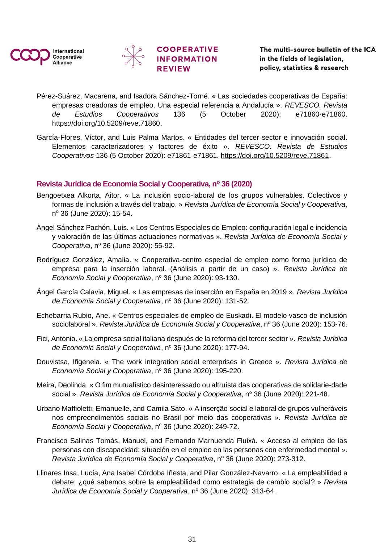![](_page_30_Picture_0.jpeg)

![](_page_30_Picture_1.jpeg)

![](_page_30_Picture_2.jpeg)

- Pérez-Suárez, Macarena, and Isadora Sánchez-Torné. « Las sociedades cooperativas de España: empresas creadoras de empleo. Una especial referencia a Andalucía ». *REVESCO. Revista de Estudios Cooperativos* 136 (5 October 2020): e71860‑e71860. [https://doi.org/10.5209/reve.71860.](https://doi.org/10.5209/reve.71860)
- García-Flores, Víctor, and Luis Palma Martos. « Entidades del tercer sector e innovación social. Elementos caracterizadores y factores de éxito ». *REVESCO. Revista de Estudios Cooperativos* 136 (5 October 2020): e71861‑e71861. [https://doi.org/10.5209/reve.71861.](https://doi.org/10.5209/reve.71861)

### <span id="page-30-0"></span>**Revista Jurídica de Economía Social y Cooperativa, n<sup>o</sup> 36 (2020)**

- Bengoetxea Alkorta, Aitor. « La inclusión socio-laboral de los grupos vulnerables. Colectivos y formas de inclusión a través del trabajo. » *Revista Jurídica de Economía Social y Cooperativa*, nº 36 (June 2020): 15-54.
- Ángel Sánchez Pachón, Luis. « Los Centros Especiales de Empleo: configuración legal e incidencia y valoración de las últimas actuaciones normativas ». *Revista Jurídica de Economía Social y Cooperativa*, nº 36 (June 2020): 55-92.
- Rodríguez González, Amalia. « Cooperativa-centro especial de empleo como forma jurídica de empresa para la inserción laboral. (Análisis a partir de un caso) ». *Revista Jurídica de Economía Social y Cooperativa*, nº 36 (June 2020): 93-130.
- Ángel García Calavia, Miguel. « Las empresas de inserción en España en 2019 ». *Revista Jurídica de Economía Social y Cooperativa*, nº 36 (June 2020): 131-52.
- Echebarria Rubio, Ane. « Centros especiales de empleo de Euskadi. El modelo vasco de inclusión sociolaboral ». *Revista Jurídica de Economía Social y Cooperativa*, nº 36 (June 2020): 153-76.
- Fici, Antonio. « La empresa social italiana después de la reforma del tercer sector ». *Revista Jurídica de Economía Social y Cooperativa, nº 36 (June 2020): 177-94.*
- Douvistsa, Ifigeneia. « The work integration social enterprises in Greece ». *Revista Jurídica de Economía Social y Cooperativa*, nº 36 (June 2020): 195-220.
- Meira, Deolinda. « O fim mutualístico desinteressado ou altruísta das cooperativas de solidarie-dade social ». *Revista Jurídica de Economía Social y Cooperativa*, nº 36 (June 2020): 221-48.
- Urbano Maffioletti, Emanuelle, and Camila Sato. « A inserção social e laboral de grupos vulneráveis nos empreendimentos sociais no Brasil por meio das cooperativas ». *Revista Jurídica de Economía Social y Cooperativa*, nº 36 (June 2020): 249-72.
- Francisco Salinas Tomás, Manuel, and Fernando Marhuenda Fluixá. « Acceso al empleo de las personas con discapacidad: situación en el empleo en las personas con enfermedad mental ». *Revista Jurídica de Economía Social y Cooperativa*, nº 36 (June 2020): 273-312.
- Llinares Insa, Lucía, Ana Isabel Córdoba Iñesta, and Pilar González-Navarro. « La empleabilidad a debate: ¿qué sabemos sobre la empleabilidad como estrategia de cambio social? » *Revista Jurídica de Economía Social y Cooperativa*, nº 36 (June 2020): 313-64.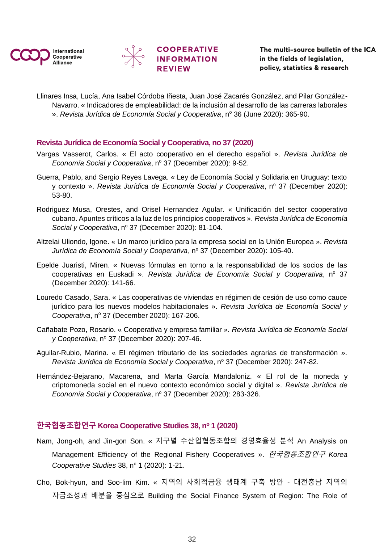![](_page_31_Picture_0.jpeg)

![](_page_31_Picture_1.jpeg)

Llinares Insa, Lucía, Ana Isabel Córdoba Iñesta, Juan José Zacarés González, and Pilar González-Navarro. « Indicadores de empleabilidad: de la inclusión al desarrollo de las carreras laborales ». *Revista Jurídica de Economía Social y Cooperativa*, nº 36 (June 2020): 365-90.

### <span id="page-31-0"></span>**Revista Jurídica de Economía Social y Cooperativa, no 37 (2020)**

- Vargas Vasserot, Carlos. « El acto cooperativo en el derecho español ». *Revista Jurídica de Economía Social y Cooperativa, nº 37 (December 2020): 9-52.*
- Guerra, Pablo, and Sergio Reyes Lavega. « Ley de Economía Social y Solidaria en Uruguay: texto y contexto ». *Revista Jurídica de Economía Social y Cooperativa*, nº 37 (December 2020): 53‑80.
- Rodriguez Musa, Orestes, and Orisel Hernandez Agular. « Unificación del sector cooperativo cubano. Apuntes críticos a la luz de los principios cooperativos ». *Revista Jurídica de Economía Social y Cooperativa, nº 37 (December 2020): 81-104.*
- Altzelai Uliondo, Igone. « Un marco jurídico para la empresa social en la Unión Europea ». *Revista Jurídica de Economía Social y Cooperativa, nº 37 (December 2020): 105-40.*
- Epelde Juaristi, Miren. « Nuevas fórmulas en torno a la responsabilidad de los socios de las cooperativas en Euskadi ». *Revista Jurídica de Economía Social y Cooperativa*, nº 37 (December 2020): 141‑66.
- Louredo Casado, Sara. « Las cooperativas de viviendas en régimen de cesión de uso como cauce jurídico para los nuevos modelos habitacionales ». *Revista Jurídica de Economía Social y Cooperativa*, nº 37 (December 2020): 167-206.
- Cañabate Pozo, Rosario. « Cooperativa y empresa familiar ». *Revista Jurídica de Economía Social y* Cooperativa, nº 37 (December 2020): 207-46.
- Aguilar-Rubio, Marina. « El régimen tributario de las sociedades agrarias de transformación ». *Revista Jurídica de Economía Social y Cooperativa*, nº 37 (December 2020): 247-82.
- Hernández-Bejarano, Macarena, and Marta García Mandaloniz. « El rol de la moneda y criptomoneda social en el nuevo contexto económico social y digital ». *Revista Jurídica de Economía Social y Cooperativa*, nº 37 (December 2020): 283-326.

### <span id="page-31-1"></span>**한국협동조합연구 Korea Cooperative Studies 38, n<sup>o</sup> 1 (2020)**

- Nam, Jong-oh, and Jin-gon Son. « 지구별 수산업협동조합의 경영효율성 분석 An Analysis on Management Efficiency of the Regional Fishery Cooperatives ». 한국협동조합연구 *Korea Cooperative Studies* 38, nº 1 (2020): 1-21.
- Cho, Bok-hyun, and Soo-lim Kim. « 지역의 사회적금융 생태계 구축 방안 대전충남 지역의 자금조성과 배분을 중심으로 Building the Social Finance System of Region: The Role of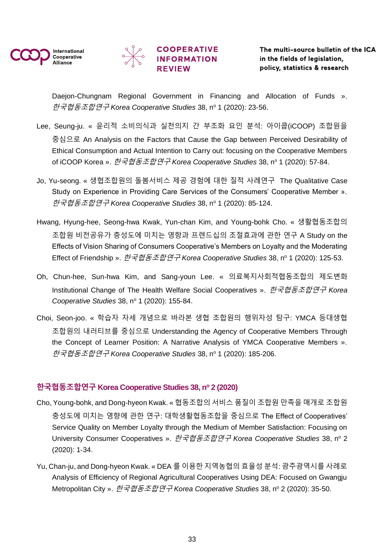![](_page_32_Picture_0.jpeg)

![](_page_32_Picture_1.jpeg)

# **COOPERATIVE INFORMATION**

Daejon-Chungnam Regional Government in Financing and Allocation of Funds ». 한국협동조합연구 *Korea Cooperative Studies* 38, n<sup>o</sup> 1 (2020): 23‑56.

- Lee, Seung-ju. « 윤리적 소비의식과 실천의지 간 부조화 요인 분석: 아이쿱(iCOOP) 조합원을 중심으로 An Analysis on the Factors that Cause the Gap between Perceived Desirability of Ethical Consumption and Actual Intention to Carry out: focusing on the Cooperative Members of iCOOP Korea ». 한국협동조합연구 *Korea Cooperative Studies* 38, n<sup>o</sup> 1 (2020): 57‑84.
- Jo, Yu-seong. « 생협조합원의 돌봄서비스 제공 경험에 대한 질적 사례연구 The Qualitative Case Study on Experience in Providing Care Services of the Consumers' Cooperative Member ». 한국협동조합연구 *Korea Cooperative Studies* 38, n<sup>o</sup> 1 (2020): 85‑124.
- Hwang, Hyung-hee, Seong-hwa Kwak, Yun-chan Kim, and Young-bohk Cho. « 생활협동조합의 조합원 비전공유가 충성도에 미치는 영향과 프렌드십의 조절효과에 관한 연구 A Study on the Effects of Vision Sharing of Consumers Cooperative's Members on Loyalty and the Moderating Effect of Friendship ». 한국협동조합연구 *Korea Cooperative Studies* 38, n<sup>o</sup> 1 (2020): 125‑53.
- Oh, Chun-hee, Sun-hwa Kim, and Sang-youn Lee. « 의료복지사회적협동조합의 제도변화 Institutional Change of The Health Welfare Social Cooperatives ». 한국협동조합연구 *Korea Cooperative Studies* 38, nº 1 (2020): 155-84.
- Choi, Seon-joo. « 학습자 자세 개념으로 바라본 생협 조합원의 행위자성 탐구: YMCA 등대생협 조합원의 내러티브를 중심으로 Understanding the Agency of Cooperative Members Through the Concept of Learner Position: A Narrative Analysis of YMCA Cooperative Members ». 한국협동조합연구 *Korea Cooperative Studies* 38, n<sup>o</sup> 1 (2020): 185‑206.

### <span id="page-32-0"></span>**한국협동조합연구 Korea Cooperative Studies 38, n<sup>o</sup> 2 (2020)**

- Cho, Young-bohk, and Dong-hyeon Kwak. « 협동조합의 서비스 품질이 조합원 만족을 매개로 조합원 충성도에 미치는 영향에 관한 연구: 대학생활협동조합을 중심으로 The Effect of Cooperatives' Service Quality on Member Loyalty through the Medium of Member Satisfaction: Focusing on University Consumer Cooperatives ». *한국협동조합연구 Korea Cooperative Studies* 38, nº 2 (2020): 1‑34.
- Yu, Chan-ju, and Dong-hyeon Kwak. « DEA 를 이용한 지역농협의 효율성 분석: 광주광역시를 사례로 Analysis of Efficiency of Regional Agricultural Cooperatives Using DEA: Focused on Gwangju Metropolitan City ». *한국협동조합연구 Korea Cooperative Studies* 38, nº 2 (2020): 35-50.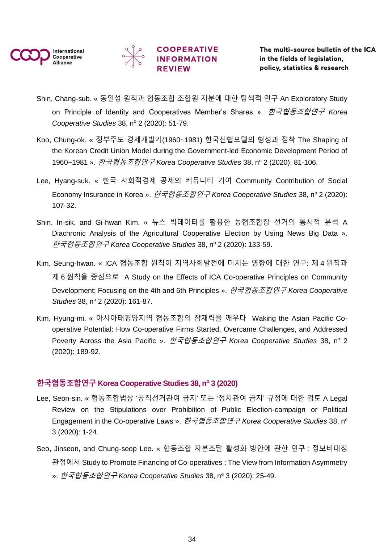![](_page_33_Picture_0.jpeg)

![](_page_33_Picture_1.jpeg)

# **COOPERATIVE INFORMATION**

- Shin, Chang-sub. « 동일성 원칙과 협동조합 조합원 지분에 대한 탐색적 연구 An Exploratory Study on Principle of Identity and Cooperatives Member's Shares ». 한국협동조합연구 *Korea Cooperative Studies* 38, nº 2 (2020): 51-79.
- Koo, Chung-ok. « 정부주도 경제개발기(1960~1981) 한국신협모델의 형성과 정착 The Shaping of the Korean Credit Union Model during the Government-led Economic Development Period of 1960~1981 ». 한국협동조합연구 Korea Cooperative Studies 38, nº 2 (2020): 81-106.
- Lee, Hyang-suk. « 한국 사회적경제 공제의 커뮤니티 기여 Community Contribution of Social Economy Insurance in Korea ». 한국협동조합연구 *Korea Cooperative Studies* 38, n<sup>o</sup> 2 (2020): 107‑32.
- Shin, In-sik, and Gi-hwan Kim. « 뉴스 빅데이터를 활용한 농협조합장 선거의 통시적 분석 A Diachronic Analysis of the Agricultural Cooperative Election by Using News Big Data ». 한국협동조합연구 *Korea Cooperative Studies* 38, n<sup>o</sup> 2 (2020): 133‑59.
- Kim, Seung-hwan. « ICA 협동조합 원칙이 지역사회발전에 미치는 영향에 대한 연구: 제 4 원칙과 제 6 원칙을 중심으로 A Study on the Effects of ICA Co-operative Principles on Community Development: Focusing on the 4th and 6th Principles ». 한국협동조합연구 *Korea Cooperative Studies* 38, nº 2 (2020): 161-87.
- Kim, Hyung-mi. « 아시아태평양지역 협동조합의 잠재력을 깨우다 Waking the Asian Pacific Cooperative Potential: How Co-operative Firms Started, Overcame Challenges, and Addressed Poverty Across the Asia Pacific ». *한국협동조합연구 Korea Cooperative Studies* 38, n<sup>o</sup> 2 (2020): 189‑92.

### <span id="page-33-0"></span>**한국협동조합연구 Korea Cooperative Studies 38, n<sup>o</sup> 3 (2020)**

- Lee, Seon-sin. « 협동조합법상 '공직선거관여 금지' 또는 '정치관여 금지' 규정에 대한 검토 A Legal Review on the Stipulations over Prohibition of Public Election-campaign or Political Engagement in the Co-operative Laws ». *한국협동조합연구 Korea Cooperative Studies* 38, n° 3 (2020): 1‑24.
- Seo, Jinseon, and Chung-seop Lee. « 협동조합 자본조달 활성화 방안에 관한 연구 : 정보비대칭 관점에서 Study to Promote Financing of Co-operatives : The View from Information Asymmetry ». 한국협동조합연구 *Korea Cooperative Studies* 38, n<sup>o</sup> 3 (2020): 25‑49.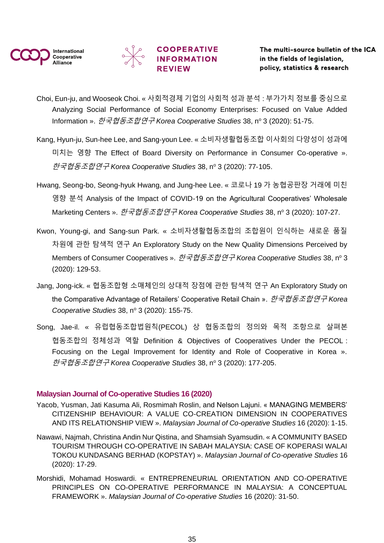![](_page_34_Picture_0.jpeg)

![](_page_34_Picture_1.jpeg)

### **COOPERATIVE INFORMATION REVIEW**

- Choi, Eun-ju, and Wooseok Choi. « 사회적경제 기업의 사회적 성과 분석 : 부가가치 정보를 중심으로 Analyzing Social Performance of Social Economy Enterprises: Focused on Value Added Information ». *한국협동조합연구 Korea Cooperative Studies* 38, nº 3 (2020): 51-75.
- Kang, Hyun-ju, Sun-hee Lee, and Sang-youn Lee. « 소비자생활협동조합 이사회의 다양성이 성과에 미치는 영향 The Effect of Board Diversity on Performance in Consumer Co-operative ». 한국협동조합연구 *Korea Cooperative Studies* 38, n<sup>o</sup> 3 (2020): 77‑105.
- Hwang, Seong-bo, Seong-hyuk Hwang, and Jung-hee Lee. « 코로나 19 가 농협공판장 거래에 미친 영향 분석 Analysis of the Impact of COVID-19 on the Agricultural Cooperatives' Wholesale Marketing Centers ». *한국협동조합연구 Korea Cooperative Studies* 38, nº 3 (2020): 107-27.
- Kwon, Young-gi, and Sang-sun Park. « 소비자생활협동조합의 조합원이 인식하는 새로운 품질 차원에 관한 탐색적 연구 An Exploratory Study on the New Quality Dimensions Perceived by Members of Consumer Cooperatives ». *한국협동조합연구 Korea Cooperative Studies* 38, nº 3 (2020): 129‑53.
- Jang, Jong-ick. « 협동조합형 소매체인의 상대적 장점에 관한 탐색적 연구 An Exploratory Study on the Comparative Advantage of Retailers' Cooperative Retail Chain ». 한국협동조합연구 *Korea Cooperative Studies* 38, nº 3 (2020): 155-75.
- Song, Jae-il. « 유럽협동조합법원칙(PECOL) 상 협동조합의 정의와 목적 조항으로 살펴본 협동조합의 정체성과 역할 Definition & Objectives of Cooperatives Under the PECOL : Focusing on the Legal Improvement for Identity and Role of Cooperative in Korea ». 한국협동조합연구 *Korea Cooperative Studies* 38, n<sup>o</sup> 3 (2020): 177‑205.

### <span id="page-34-0"></span>**Malaysian Journal of Co-operative Studies 16 (2020)**

- Yacob, Yusman, Jati Kasuma Ali, Rosmimah Roslin, and Nelson Lajuni. « MANAGING MEMBERS' CITIZENSHIP BEHAVIOUR: A VALUE CO-CREATION DIMENSION IN COOPERATIVES AND ITS RELATIONSHIP VIEW ». *Malaysian Journal of Co-operative Studies* 16 (2020): 1‑15.
- Nawawi, Najmah, Christina Andin Nur Qistina, and Shamsiah Syamsudin. « A COMMUNITY BASED TOURISM THROUGH CO-OPERATIVE IN SABAH MALAYSIA: CASE OF KOPERASI WALAI TOKOU KUNDASANG BERHAD (KOPSTAY) ». *Malaysian Journal of Co-operative Studies* 16 (2020): 17‑29.
- Morshidi, Mohamad Hoswardi. « ENTREPRENEURIAL ORIENTATION AND CO-OPERATIVE PRINCIPLES ON CO-OPERATIVE PERFORMANCE IN MALAYSIA: A CONCEPTUAL FRAMEWORK ». *Malaysian Journal of Co-operative Studies* 16 (2020): 31‑50.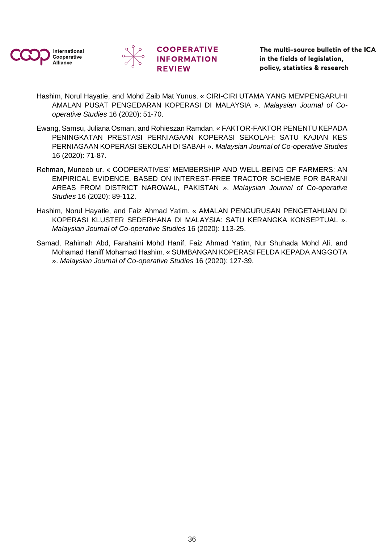![](_page_35_Picture_0.jpeg)

![](_page_35_Picture_1.jpeg)

### **COOPERATIVE INFORMATION REVIEW**

The multi-source bulletin of the ICA in the fields of legislation, policy, statistics & research

- Hashim, Norul Hayatie, and Mohd Zaib Mat Yunus. « CIRI-CIRI UTAMA YANG MEMPENGARUHI AMALAN PUSAT PENGEDARAN KOPERASI DI MALAYSIA ». *Malaysian Journal of Cooperative Studies* 16 (2020): 51‑70.
- Ewang, Samsu, Juliana Osman, and Rohieszan Ramdan. « FAKTOR-FAKTOR PENENTU KEPADA PENINGKATAN PRESTASI PERNIAGAAN KOPERASI SEKOLAH: SATU KAJIAN KES PERNIAGAAN KOPERASI SEKOLAH DI SABAH ». *Malaysian Journal of Co-operative Studies* 16 (2020): 71‑87.
- Rehman, Muneeb ur. « COOPERATIVES' MEMBERSHIP AND WELL-BEING OF FARMERS: AN EMPIRICAL EVIDENCE, BASED ON INTEREST-FREE TRACTOR SCHEME FOR BARANI AREAS FROM DISTRICT NAROWAL, PAKISTAN ». *Malaysian Journal of Co-operative Studies* 16 (2020): 89‑112.
- Hashim, Norul Hayatie, and Faiz Ahmad Yatim. « AMALAN PENGURUSAN PENGETAHUAN DI KOPERASI KLUSTER SEDERHANA DI MALAYSIA: SATU KERANGKA KONSEPTUAL ». *Malaysian Journal of Co-operative Studies* 16 (2020): 113‑25.
- Samad, Rahimah Abd, Farahaini Mohd Hanif, Faiz Ahmad Yatim, Nur Shuhada Mohd Ali, and Mohamad Haniff Mohamad Hashim. « SUMBANGAN KOPERASI FELDA KEPADA ANGGOTA ». *Malaysian Journal of Co-operative Studies* 16 (2020): 127‑39.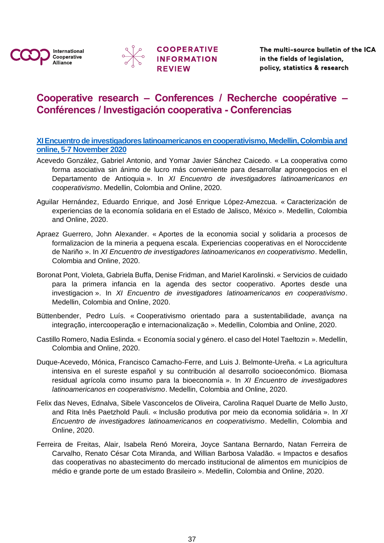![](_page_36_Picture_0.jpeg)

![](_page_36_Picture_1.jpeg)

![](_page_36_Picture_2.jpeg)

# <span id="page-36-0"></span>**Cooperative research – Conferences / Recherche coopérative – Conférences / Investigación cooperativa - Conferencias**

<span id="page-36-1"></span>**[XI Encuentro de investigadores latinoamericanos en cooperativismo, Medellin, Colombia and](https://ccr.ica.coop/en/newsroom/news/ica-ccr-latin-america-research-conference-5-7-november-2020-great-success-middle)  [online, 5-7 November 2020](https://ccr.ica.coop/en/newsroom/news/ica-ccr-latin-america-research-conference-5-7-november-2020-great-success-middle)**

- Acevedo González, Gabriel Antonio, and Yomar Javier Sánchez Caicedo. « La cooperativa como forma asociativa sin ánimo de lucro más conveniente para desarrollar agronegocios en el Departamento de Antioquia ». In *XI Encuentro de investigadores latinoamericanos en cooperativismo*. Medellin, Colombia and Online, 2020.
- Aguilar Hernández, Eduardo Enrique, and José Enrique López-Amezcua. « Caracterización de experiencias de la economía solidaria en el Estado de Jalisco, México ». Medellin, Colombia and Online, 2020.
- Apraez Guerrero, John Alexander. « Aportes de la economia social y solidaria a procesos de formalizacion de la mineria a pequena escala. Experiencias cooperativas en el Noroccidente de Nariño ». In *XI Encuentro de investigadores latinoamericanos en cooperativismo*. Medellin, Colombia and Online, 2020.
- Boronat Pont, Violeta, Gabriela Buffa, Denise Fridman, and Mariel Karolinski. « Servicios de cuidado para la primera infancia en la agenda des sector cooperativo. Aportes desde una investigacion ». In *XI Encuentro de investigadores latinoamericanos en cooperativismo*. Medellin, Colombia and Online, 2020.
- Büttenbender, Pedro Luís. « Cooperativismo orientado para a sustentabilidade, avança na integração, intercooperação e internacionalização ». Medellin, Colombia and Online, 2020.
- Castillo Romero, Nadia Eslinda. « Economía social y género. el caso del Hotel Taeltozin ». Medellin, Colombia and Online, 2020.
- Duque-Acevedo, Mónica, Francisco Camacho-Ferre, and Luis J. Belmonte-Ureña. « La agricultura intensiva en el sureste español y su contribución al desarrollo socioeconómico. Biomasa residual agrícola como insumo para la bioeconomía ». In *XI Encuentro de investigadores latinoamericanos en cooperativismo*. Medellin, Colombia and Online, 2020.
- Felix das Neves, Ednalva, Sibele Vasconcelos de Oliveira, Carolina Raquel Duarte de Mello Justo, and Rita Inês Paetzhold Pauli. « Inclusão produtiva por meio da economia solidária ». In *XI Encuentro de investigadores latinoamericanos en cooperativismo*. Medellin, Colombia and Online, 2020.
- Ferreira de Freitas, Alair, Isabela Renó Moreira, Joyce Santana Bernardo, Natan Ferreira de Carvalho, Renato César Cota Miranda, and Willian Barbosa Valadão. « Impactos e desafios das cooperativas no abastecimento do mercado institucional de alimentos em municípios de médio e grande porte de um estado Brasileiro ». Medellin, Colombia and Online, 2020.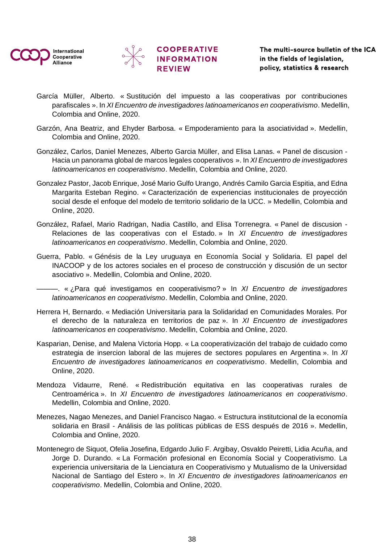![](_page_37_Picture_0.jpeg)

![](_page_37_Picture_1.jpeg)

![](_page_37_Picture_2.jpeg)

- García Müller, Alberto. « Sustitución del impuesto a las cooperativas por contribuciones parafiscales ». In *XI Encuentro de investigadores latinoamericanos en cooperativismo*. Medellin, Colombia and Online, 2020.
- Garzón, Ana Beatriz, and Ehyder Barbosa. « Empoderamiento para la asociatividad ». Medellin, Colombia and Online, 2020.
- González, Carlos, Daniel Menezes, Alberto Garcia Müller, and Elisa Lanas. « Panel de discusion Hacia un panorama global de marcos legales cooperativos ». In *XI Encuentro de investigadores latinoamericanos en cooperativismo*. Medellin, Colombia and Online, 2020.
- Gonzalez Pastor, Jacob Enrique, José Mario Gulfo Urango, Andrés Camilo Garcia Espitia, and Edna Margarita Esteban Regino. « Caracterización de experiencias institucionales de proyección social desde el enfoque del modelo de territorio solidario de la UCC. » Medellin, Colombia and Online, 2020.
- González, Rafael, Mario Radrigan, Nadia Castillo, and Elisa Torrenegra. « Panel de discusion Relaciones de las cooperativas con el Estado. » In *XI Encuentro de investigadores latinoamericanos en cooperativismo*. Medellin, Colombia and Online, 2020.
- Guerra, Pablo. « Génésis de la Ley uruguaya en Economía Social y Solidaria. El papel del INACOOP y de los actores sociales en el proceso de construcción y discusión de un sector asociativo ». Medellin, Colombia and Online, 2020.

———. « ¿Para qué investigamos en cooperativismo? » In *XI Encuentro de investigadores latinoamericanos en cooperativismo*. Medellin, Colombia and Online, 2020.

- Herrera H, Bernardo. « Mediación Universitaria para la Solidaridad en Comunidades Morales. Por el derecho de la naturaleza en territorios de paz ». In *XI Encuentro de investigadores latinoamericanos en cooperativismo*. Medellin, Colombia and Online, 2020.
- Kasparian, Denise, and Malena Victoria Hopp. « La cooperativización del trabajo de cuidado como estrategia de insercion laboral de las mujeres de sectores populares en Argentina ». In *XI Encuentro de investigadores latinoamericanos en cooperativismo*. Medellin, Colombia and Online, 2020.
- Mendoza Vidaurre, René. « Redistribución equitativa en las cooperativas rurales de Centroamérica ». In *XI Encuentro de investigadores latinoamericanos en cooperativismo*. Medellin, Colombia and Online, 2020.
- Menezes, Nagao Menezes, and Daniel Francisco Nagao. « Estructura institutcional de la economía solidaria en Brasil - Análisis de las políticas públicas de ESS después de 2016 ». Medellin, Colombia and Online, 2020.
- Montenegro de Siquot, Ofelia Josefina, Edgardo Julio F. Argibay, Osvaldo Peiretti, Lidia Acuña, and Jorge D. Durando. « La Formación profesional en Economía Social y Cooperativismo. La experiencia universitaria de la Lienciatura en Cooperativismo y Mutualismo de la Universidad Nacional de Santiago del Estero ». In *XI Encuentro de investigadores latinoamericanos en cooperativismo*. Medellin, Colombia and Online, 2020.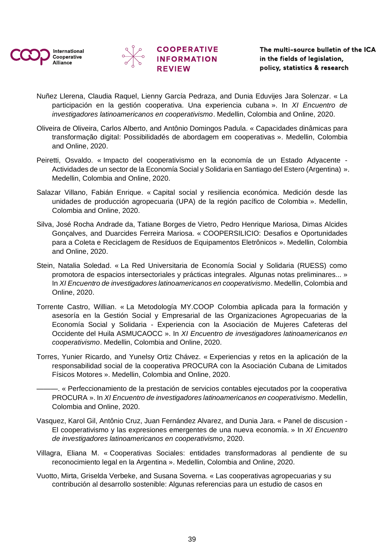![](_page_38_Picture_0.jpeg)

![](_page_38_Picture_1.jpeg)

![](_page_38_Picture_2.jpeg)

- Nuñez Llerena, Claudia Raquel, Lienny García Pedraza, and Dunia Eduvijes Jara Solenzar. « La participación en la gestión cooperativa. Una experiencia cubana ». In *XI Encuentro de investigadores latinoamericanos en cooperativismo*. Medellin, Colombia and Online, 2020.
- Oliveira de Oliveira, Carlos Alberto, and Antônio Domingos Padula. « Capacidades dinâmicas para transformação digital: Possibilidadés de abordagem em cooperativas ». Medellin, Colombia and Online, 2020.
- Peiretti, Osvaldo. « Impacto del cooperativismo en la economía de un Estado Adyacente Actividades de un sector de la Economía Social y Solidaria en Santiago del Estero (Argentina) ». Medellin, Colombia and Online, 2020.
- Salazar Villano, Fabián Enrique. « Capital social y resiliencia económica. Medición desde las unidades de producción agropecuaria (UPA) de la región pacífico de Colombia ». Medellin, Colombia and Online, 2020.
- Silva, José Rocha Andrade da, Tatiane Borges de Vietro, Pedro Henrique Mariosa, Dimas Alcides Gonçalves, and Duarcides Ferreira Mariosa. « COOPERSILICIO: Desafios e Oportunidades para a Coleta e Reciclagem de Resíduos de Equipamentos Eletrônicos ». Medellin, Colombia and Online, 2020.
- Stein, Natalia Soledad. « La Red Universitaria de Economía Social y Solidaria (RUESS) como promotora de espacios intersectoriales y prácticas integrales. Algunas notas preliminares... » In *XI Encuentro de investigadores latinoamericanos en cooperativismo*. Medellin, Colombia and Online, 2020.
- Torrente Castro, Willian. « La Metodología MY.COOP Colombia aplicada para la formación y asesoría en la Gestión Social y Empresarial de las Organizaciones Agropecuarias de la Economía Social y Solidaria - Experiencia con la Asociación de Mujeres Cafeteras del Occidente del Huila ASMUCAOCC ». In *XI Encuentro de investigadores latinoamericanos en cooperativismo*. Medellin, Colombia and Online, 2020.
- Torres, Yunier Ricardo, and Yunelsy Ortiz Chávez. « Experiencias y retos en la aplicación de la responsabilidad social de la cooperativa PROCURA con la Asociación Cubana de Limitados Físicos Motores ». Medellin, Colombia and Online, 2020.

———. « Perfeccionamiento de la prestación de servicios contables ejecutados por la cooperativa PROCURA ». In *XI Encuentro de investigadores latinoamericanos en cooperativismo*. Medellin, Colombia and Online, 2020.

- Vasquez, Karol Gil, Antônio Cruz, Juan Fernández Alvarez, and Dunia Jara. « Panel de discusion El cooperativismo y las expresiones emergentes de una nueva economía. » In *XI Encuentro de investigadores latinoamericanos en cooperativismo*, 2020.
- Villagra, Eliana M. « Cooperativas Sociales: entidades transformadoras al pendiente de su reconocimiento legal en la Argentina ». Medellin, Colombia and Online, 2020.
- Vuotto, Mirta, Griselda Verbeke, and Susana Soverna. « Las cooperativas agropecuarias y su contribución al desarrollo sostenible: Algunas referencias para un estudio de casos en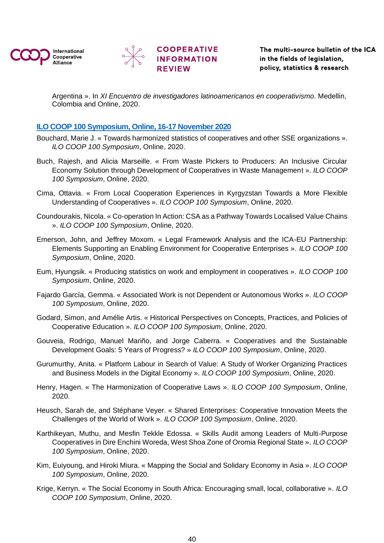![](_page_39_Picture_0.jpeg)

![](_page_39_Picture_1.jpeg)

Argentina ». In *XI Encuentro de investigadores latinoamericanos en cooperativismo*. Medellin, Colombia and Online, 2020.

### <span id="page-39-0"></span>**[ILO COOP 100 Symposium, Online, 16-17 November 2020](https://www.ilo.org/global/topics/cooperatives/events/WCMS_739203/lang--en/index.htm)**

- Bouchard, Marie J. « Towards harmonized statistics of cooperatives and other SSE organizations ». *ILO COOP 100 Symposium*, Online, 2020.
- Buch, Rajesh, and Alicia Marseille. « From Waste Pickers to Producers: An Inclusive Circular Economy Solution through Development of Cooperatives in Waste Management ». *ILO COOP 100 Symposium*, Online, 2020.
- Cima, Ottavia. « From Local Cooperation Experiences in Kyrgyzstan Towards a More Flexible Understanding of Cooperatives ». *ILO COOP 100 Symposium*, Online, 2020.
- Coundourakis, Nicola. « Co-operation In Action: CSA as a Pathway Towards Localised Value Chains ». *ILO COOP 100 Symposium*, Online, 2020.
- Emerson, John, and Jeffrey Moxom. « Legal Framework Analysis and the ICA-EU Partnership: Elements Supporting an Enabling Environment for Cooperative Enterprises ». *ILO COOP 100 Symposium*, Online, 2020.
- Eum, Hyungsik. « Producing statistics on work and employment in cooperatives ». *ILO COOP 100 Symposium*, Online, 2020.
- Fajardo García, Gemma. « Associated Work is not Dependent or Autonomous Works ». *ILO COOP 100 Symposium*, Online, 2020.
- Godard, Simon, and Amélie Artis. « Historical Perspectives on Concepts, Practices, and Policies of Cooperative Education ». *ILO COOP 100 Symposium*, Online, 2020.
- Gouveia, Rodrigo, Manuel Mariño, and Jorge Caberra. « Cooperatives and the Sustainable Development Goals: 5 Years of Progress? » *ILO COOP 100 Symposium*, Online, 2020.
- Gurumurthy, Anita. « Platform Labour in Search of Value: A Study of Worker Organizing Practices and Business Models in the Digital Economy ». *ILO COOP 100 Symposium*, Online, 2020.
- Henry, Hagen. « The Harmonization of Cooperative Laws ». *ILO COOP 100 Symposium*, Online, 2020.
- Heusch, Sarah de, and Stéphane Veyer. « Shared Enterprises: Cooperative Innovation Meets the Challenges of the World of Work ». *ILO COOP 100 Symposium*, Online, 2020.
- Karthikeyan, Muthu, and Mesfin Tekkle Edossa. « Skills Audit among Leaders of Multi-Purpose Cooperatives in Dire Enchini Woreda, West Shoa Zone of Oromia Regional State ». *ILO COOP 100 Symposium*, Online, 2020.
- Kim, Euiyoung, and Hiroki Miura. « Mapping the Social and Solidary Economy in Asia ». *ILO COOP 100 Symposium*, Online, 2020.
- Krige, Kerryn. « The Social Economy in South Africa: Encouraging small, local, collaborative ». *ILO COOP 100 Symposium*, Online, 2020.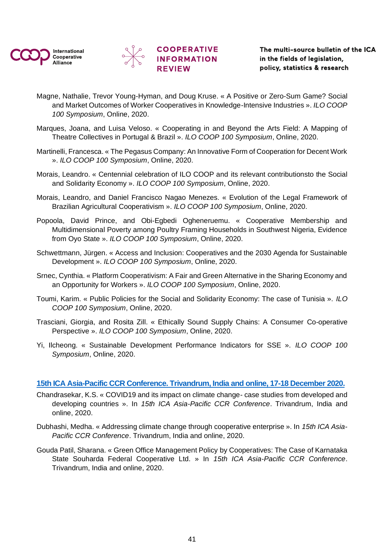![](_page_40_Picture_0.jpeg)

![](_page_40_Picture_1.jpeg)

![](_page_40_Picture_2.jpeg)

- Magne, Nathalie, Trevor Young-Hyman, and Doug Kruse. « A Positive or Zero-Sum Game? Social and Market Outcomes of Worker Cooperatives in Knowledge-Intensive Industries ». *ILO COOP 100 Symposium*, Online, 2020.
- Marques, Joana, and Luisa Veloso. « Cooperating in and Beyond the Arts Field: A Mapping of Theatre Collectives in Portugal & Brazil ». *ILO COOP 100 Symposium*, Online, 2020.
- Martinelli, Francesca. « The Pegasus Company: An Innovative Form of Cooperation for Decent Work ». *ILO COOP 100 Symposium*, Online, 2020.
- Morais, Leandro. « Centennial celebration of ILO COOP and its relevant contributionsto the Social and Solidarity Economy ». *ILO COOP 100 Symposium*, Online, 2020.
- Morais, Leandro, and Daniel Francisco Nagao Menezes. « Evolution of the Legal Framework of Brazilian Agricultural Cooperativism ». *ILO COOP 100 Symposium*, Online, 2020.
- Popoola, David Prince, and Obi-Egbedi Ogheneruemu. « Cooperative Membership and Multidimensional Poverty among Poultry Framing Households in Southwest Nigeria, Evidence from Oyo State ». *ILO COOP 100 Symposium*, Online, 2020.
- Schwettmann, Jürgen. « Access and Inclusion: Cooperatives and the 2030 Agenda for Sustainable Development ». *ILO COOP 100 Symposium*, Online, 2020.
- Srnec, Cynthia. « Platform Cooperativism: A Fair and Green Alternative in the Sharing Economy and an Opportunity for Workers ». *ILO COOP 100 Symposium*, Online, 2020.
- Toumi, Karim. « Public Policies for the Social and Solidarity Economy: The case of Tunisia ». *ILO COOP 100 Symposium*, Online, 2020.
- Trasciani, Giorgia, and Rosita Zill. « Ethically Sound Supply Chains: A Consumer Co-operative Perspective ». *ILO COOP 100 Symposium*, Online, 2020.
- Yi, Ilcheong. « Sustainable Development Performance Indicators for SSE ». *ILO COOP 100 Symposium*, Online, 2020.

#### <span id="page-40-0"></span>**[15th ICA Asia-Pacific CCR Conference. Trivandrum, India](https://ccr.ica.coop/en/newsroom/news/ica-ap-cooperative-research-conference-explored-role-cooperatives-tackling-climate) and online, 17-18 December 2020.**

- Chandrasekar, K.S. « COVID19 and its impact on climate change- case studies from developed and developing countries ». In *15th ICA Asia-Pacific CCR Conference*. Trivandrum, India and online, 2020.
- Dubhashi, Medha. « Addressing climate change through cooperative enterprise ». In *15th ICA Asia-Pacific CCR Conference*. Trivandrum, India and online, 2020.
- Gouda Patil, Sharana. « Green Office Management Policy by Cooperatives: The Case of Karnataka State Souharda Federal Cooperative Ltd. » In *15th ICA Asia-Pacific CCR Conference*. Trivandrum, India and online, 2020.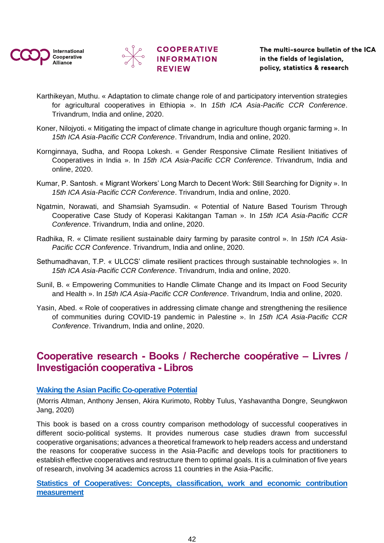![](_page_41_Picture_0.jpeg)

![](_page_41_Picture_1.jpeg)

![](_page_41_Picture_2.jpeg)

- Karthikeyan, Muthu. « Adaptation to climate change role of and participatory intervention strategies for agricultural cooperatives in Ethiopia ». In *15th ICA Asia-Pacific CCR Conference*. Trivandrum, India and online, 2020.
- Koner, Nilojyoti. « Mitigating the impact of climate change in agriculture though organic farming ». In *15th ICA Asia-Pacific CCR Conference*. Trivandrum, India and online, 2020.
- Kornginnaya, Sudha, and Roopa Lokesh. « Gender Responsive Climate Resilient Initiatives of Cooperatives in India ». In *15th ICA Asia-Pacific CCR Conference*. Trivandrum, India and online, 2020.
- Kumar, P. Santosh. « Migrant Workers' Long March to Decent Work: Still Searching for Dignity ». In *15th ICA Asia-Pacific CCR Conference*. Trivandrum, India and online, 2020.
- Ngatmin, Norawati, and Shamsiah Syamsudin. « Potential of Nature Based Tourism Through Cooperative Case Study of Koperasi Kakitangan Taman ». In *15th ICA Asia-Pacific CCR Conference*. Trivandrum, India and online, 2020.
- Radhika, R. « Climate resilient sustainable dairy farming by parasite control ». In *15th ICA Asia-Pacific CCR Conference*. Trivandrum, India and online, 2020.
- Sethumadhavan, T.P. « ULCCS' climate resilient practices through sustainable technologies ». In *15th ICA Asia-Pacific CCR Conference*. Trivandrum, India and online, 2020.
- Sunil, B. « Empowering Communities to Handle Climate Change and its Impact on Food Security and Health ». In *15th ICA Asia-Pacific CCR Conference*. Trivandrum, India and online, 2020.
- Yasin, Abed. « Role of cooperatives in addressing climate change and strengthening the resilience of communities during COVID-19 pandemic in Palestine ». In *15th ICA Asia-Pacific CCR Conference*. Trivandrum, India and online, 2020.

# <span id="page-41-0"></span>**Cooperative research - Books / Recherche coopérative – Livres / Investigación cooperativa - Libros**

### <span id="page-41-1"></span>**[Waking the Asian Pacific Co-operative Potential](https://ccr.ica.coop/en/media/library/waking-asian-pacific-co-operative-potential)**

(Morris Altman, Anthony Jensen, Akira Kurimoto, Robby Tulus, Yashavantha Dongre, Seungkwon Jang, 2020)

This book is based on a cross country comparison methodology of successful cooperatives in different socio-political systems. It provides numerous case studies drawn from successful cooperative organisations; advances a theoretical framework to help readers access and understand the reasons for cooperative success in the Asia-Pacific and develops tools for practitioners to establish effective cooperatives and restructure them to optimal goals. It is a culmination of five years of research, involving 34 academics across 11 countries in the Asia-Pacific.

### <span id="page-41-2"></span>**[Statistics of Cooperatives: Concepts, classification, work and economic contribution](https://www.ilo.org/global/topics/cooperatives/publications/WCMS_760710/lang--en/index.htm)  [measurement](https://www.ilo.org/global/topics/cooperatives/publications/WCMS_760710/lang--en/index.htm)**